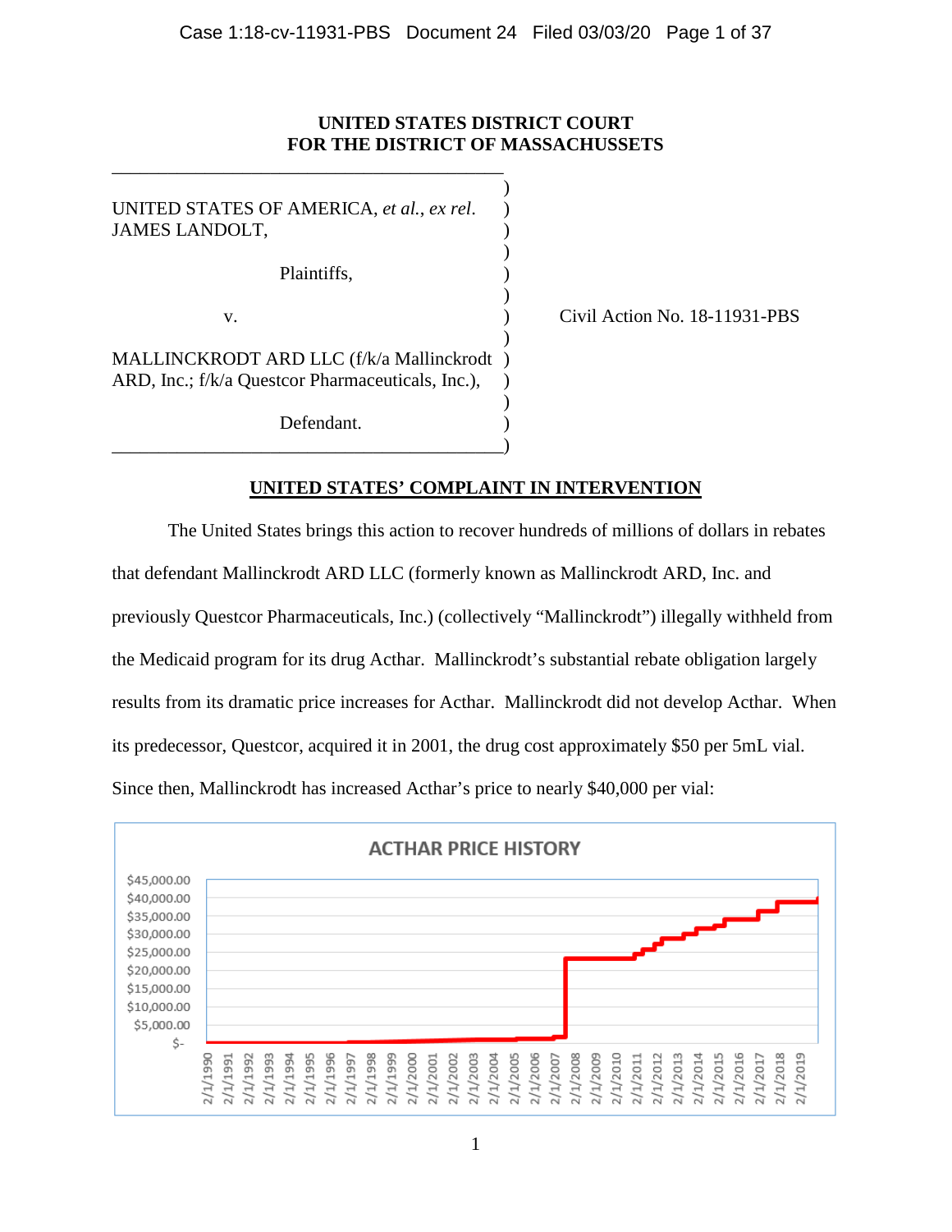# **UNITED STATES DISTRICT COURT FOR THE DISTRICT OF MASSACHUSSETS**

)

)

)

)

)

UNITED STATES OF AMERICA, *et al.*, *ex rel.* ) JAMES LANDOLT, Plaintiffs, ) v. ) Civil Action No. 18-11931-PBS MALLINCKRODT ARD LLC (f/k/a Mallinckrodt ) ARD, Inc.; f/k/a Questcor Pharmaceuticals, Inc.), Defendant.

\_\_\_\_\_\_\_\_\_\_\_\_\_\_\_\_\_\_\_\_\_\_\_\_\_\_\_\_\_\_\_\_\_\_\_\_\_\_\_\_\_\_)

\_\_\_\_\_\_\_\_\_\_\_\_\_\_\_\_\_\_\_\_\_\_\_\_\_\_\_\_\_\_\_\_\_\_\_\_\_\_\_\_\_\_

## **UNITED STATES' COMPLAINT IN INTERVENTION**

The United States brings this action to recover hundreds of millions of dollars in rebates that defendant Mallinckrodt ARD LLC (formerly known as Mallinckrodt ARD, Inc. and previously Questcor Pharmaceuticals, Inc.) (collectively "Mallinckrodt") illegally withheld from the Medicaid program for its drug Acthar. Mallinckrodt's substantial rebate obligation largely results from its dramatic price increases for Acthar. Mallinckrodt did not develop Acthar. When its predecessor, Questcor, acquired it in 2001, the drug cost approximately \$50 per 5mL vial. Since then, Mallinckrodt has increased Acthar's price to nearly \$40,000 per vial:

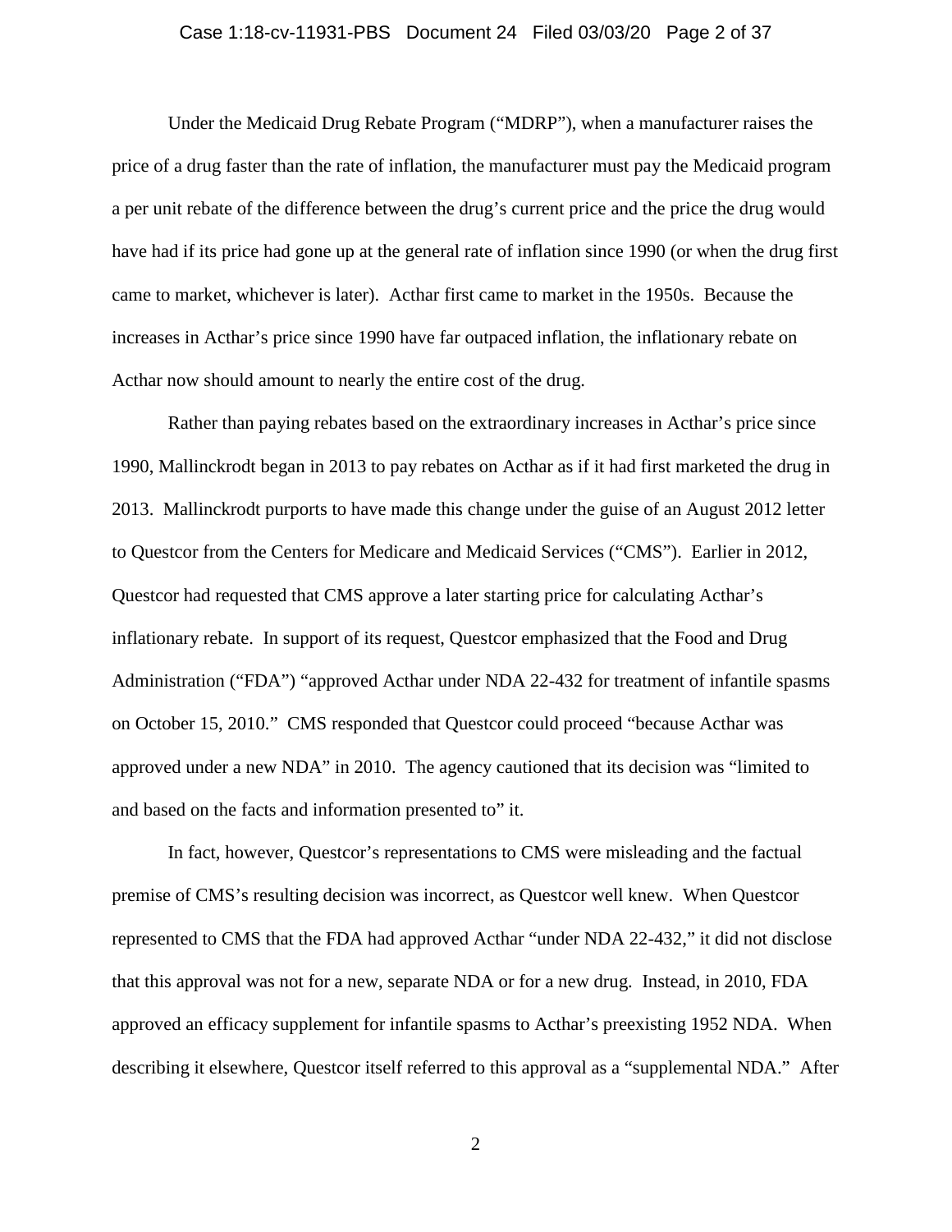#### Case 1:18-cv-11931-PBS Document 24 Filed 03/03/20 Page 2 of 37

Under the Medicaid Drug Rebate Program ("MDRP"), when a manufacturer raises the price of a drug faster than the rate of inflation, the manufacturer must pay the Medicaid program a per unit rebate of the difference between the drug's current price and the price the drug would have had if its price had gone up at the general rate of inflation since 1990 (or when the drug first came to market, whichever is later). Acthar first came to market in the 1950s. Because the increases in Acthar's price since 1990 have far outpaced inflation, the inflationary rebate on Acthar now should amount to nearly the entire cost of the drug.

Rather than paying rebates based on the extraordinary increases in Acthar's price since 1990, Mallinckrodt began in 2013 to pay rebates on Acthar as if it had first marketed the drug in 2013. Mallinckrodt purports to have made this change under the guise of an August 2012 letter to Questcor from the Centers for Medicare and Medicaid Services ("CMS"). Earlier in 2012, Questcor had requested that CMS approve a later starting price for calculating Acthar's inflationary rebate. In support of its request, Questcor emphasized that the Food and Drug Administration ("FDA") "approved Acthar under NDA 22-432 for treatment of infantile spasms on October 15, 2010." CMS responded that Questcor could proceed "because Acthar was approved under a new NDA" in 2010. The agency cautioned that its decision was "limited to and based on the facts and information presented to" it.

In fact, however, Questcor's representations to CMS were misleading and the factual premise of CMS's resulting decision was incorrect, as Questcor well knew. When Questcor represented to CMS that the FDA had approved Acthar "under NDA 22-432," it did not disclose that this approval was not for a new, separate NDA or for a new drug. Instead, in 2010, FDA approved an efficacy supplement for infantile spasms to Acthar's preexisting 1952 NDA. When describing it elsewhere, Questcor itself referred to this approval as a "supplemental NDA." After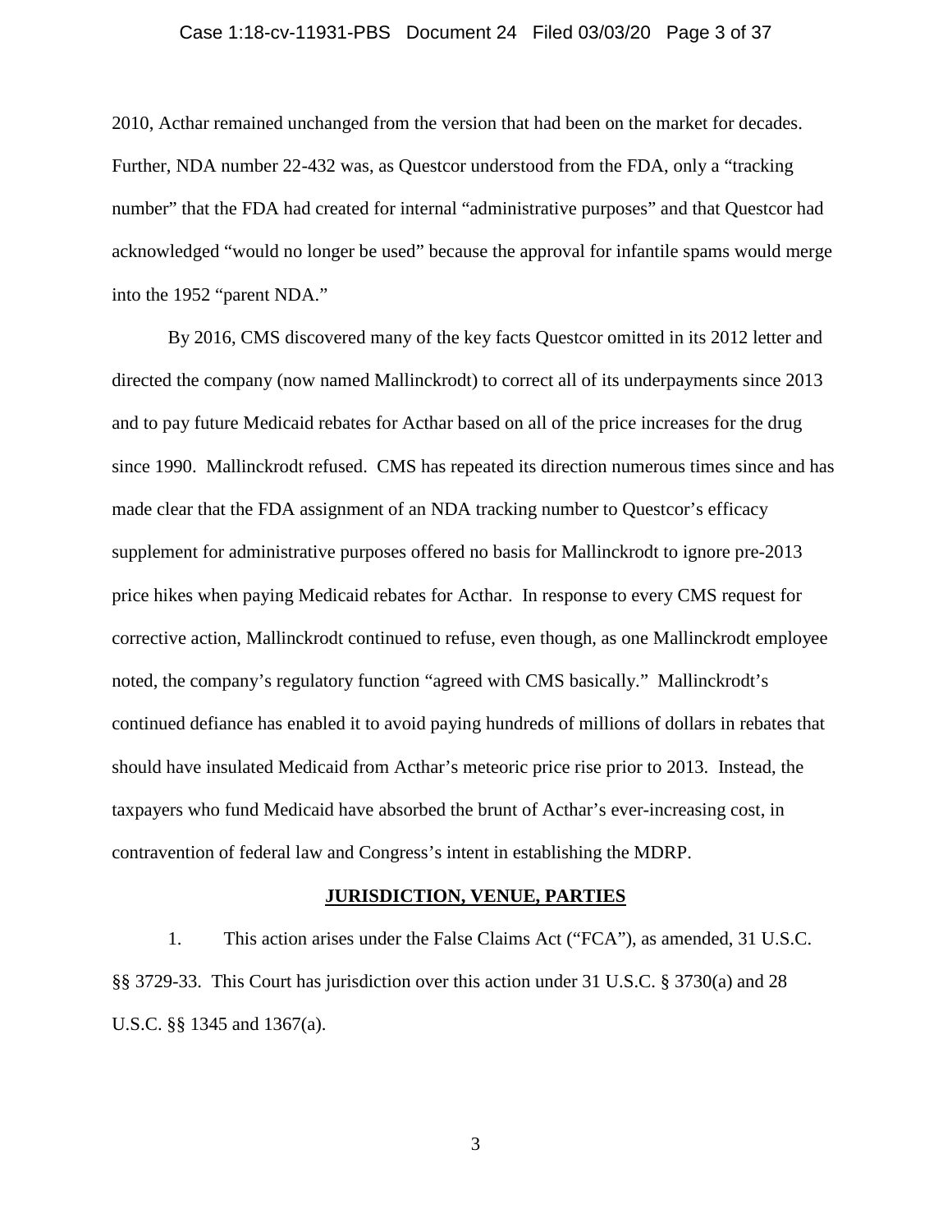#### Case 1:18-cv-11931-PBS Document 24 Filed 03/03/20 Page 3 of 37

2010, Acthar remained unchanged from the version that had been on the market for decades. Further, NDA number 22-432 was, as Questcor understood from the FDA, only a "tracking number" that the FDA had created for internal "administrative purposes" and that Questcor had acknowledged "would no longer be used" because the approval for infantile spams would merge into the 1952 "parent NDA."

By 2016, CMS discovered many of the key facts Questcor omitted in its 2012 letter and directed the company (now named Mallinckrodt) to correct all of its underpayments since 2013 and to pay future Medicaid rebates for Acthar based on all of the price increases for the drug since 1990. Mallinckrodt refused. CMS has repeated its direction numerous times since and has made clear that the FDA assignment of an NDA tracking number to Questcor's efficacy supplement for administrative purposes offered no basis for Mallinckrodt to ignore pre-2013 price hikes when paying Medicaid rebates for Acthar. In response to every CMS request for corrective action, Mallinckrodt continued to refuse, even though, as one Mallinckrodt employee noted, the company's regulatory function "agreed with CMS basically." Mallinckrodt's continued defiance has enabled it to avoid paying hundreds of millions of dollars in rebates that should have insulated Medicaid from Acthar's meteoric price rise prior to 2013. Instead, the taxpayers who fund Medicaid have absorbed the brunt of Acthar's ever-increasing cost, in contravention of federal law and Congress's intent in establishing the MDRP.

#### **JURISDICTION, VENUE, PARTIES**

1. This action arises under the False Claims Act ("FCA"), as amended, 31 U.S.C. §§ 3729-33. This Court has jurisdiction over this action under 31 U.S.C. § 3730(a) and 28 U.S.C. §§ 1345 and 1367(a).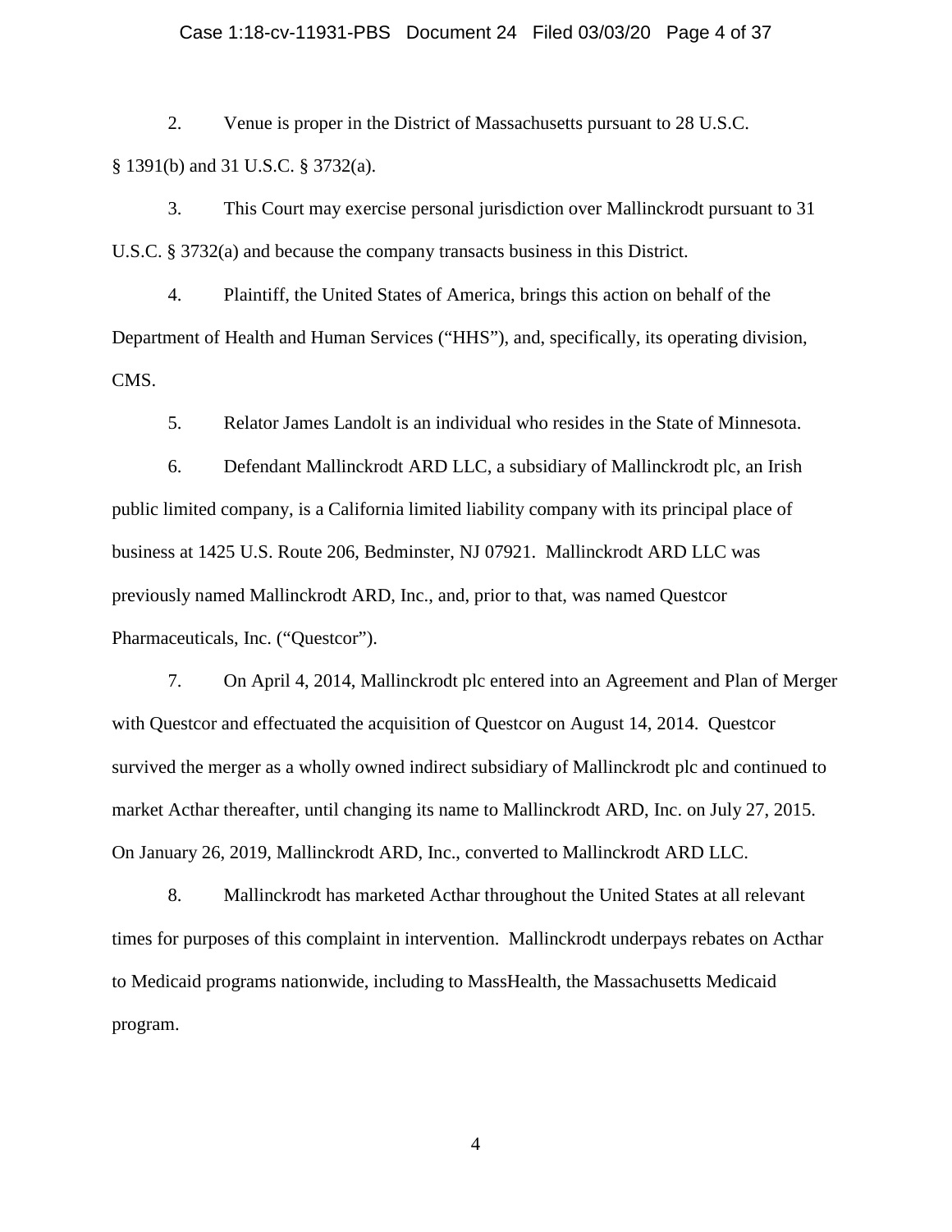#### Case 1:18-cv-11931-PBS Document 24 Filed 03/03/20 Page 4 of 37

2. Venue is proper in the District of Massachusetts pursuant to 28 U.S.C. § 1391(b) and 31 U.S.C. § 3732(a).

3. This Court may exercise personal jurisdiction over Mallinckrodt pursuant to 31 U.S.C. § 3732(a) and because the company transacts business in this District.

4. Plaintiff, the United States of America, brings this action on behalf of the Department of Health and Human Services ("HHS"), and, specifically, its operating division, CMS.

5. Relator James Landolt is an individual who resides in the State of Minnesota.

6. Defendant Mallinckrodt ARD LLC, a subsidiary of Mallinckrodt plc, an Irish public limited company, is a California limited liability company with its principal place of business at 1425 U.S. Route 206, Bedminster, NJ 07921. Mallinckrodt ARD LLC was previously named Mallinckrodt ARD, Inc., and, prior to that, was named Questcor Pharmaceuticals, Inc. ("Questcor").

7. On April 4, 2014, Mallinckrodt plc entered into an Agreement and Plan of Merger with Questcor and effectuated the acquisition of Questcor on August 14, 2014. Questcor survived the merger as a wholly owned indirect subsidiary of Mallinckrodt plc and continued to market Acthar thereafter, until changing its name to Mallinckrodt ARD, Inc. on July 27, 2015. On January 26, 2019, Mallinckrodt ARD, Inc., converted to Mallinckrodt ARD LLC.

8. Mallinckrodt has marketed Acthar throughout the United States at all relevant times for purposes of this complaint in intervention. Mallinckrodt underpays rebates on Acthar to Medicaid programs nationwide, including to MassHealth, the Massachusetts Medicaid program.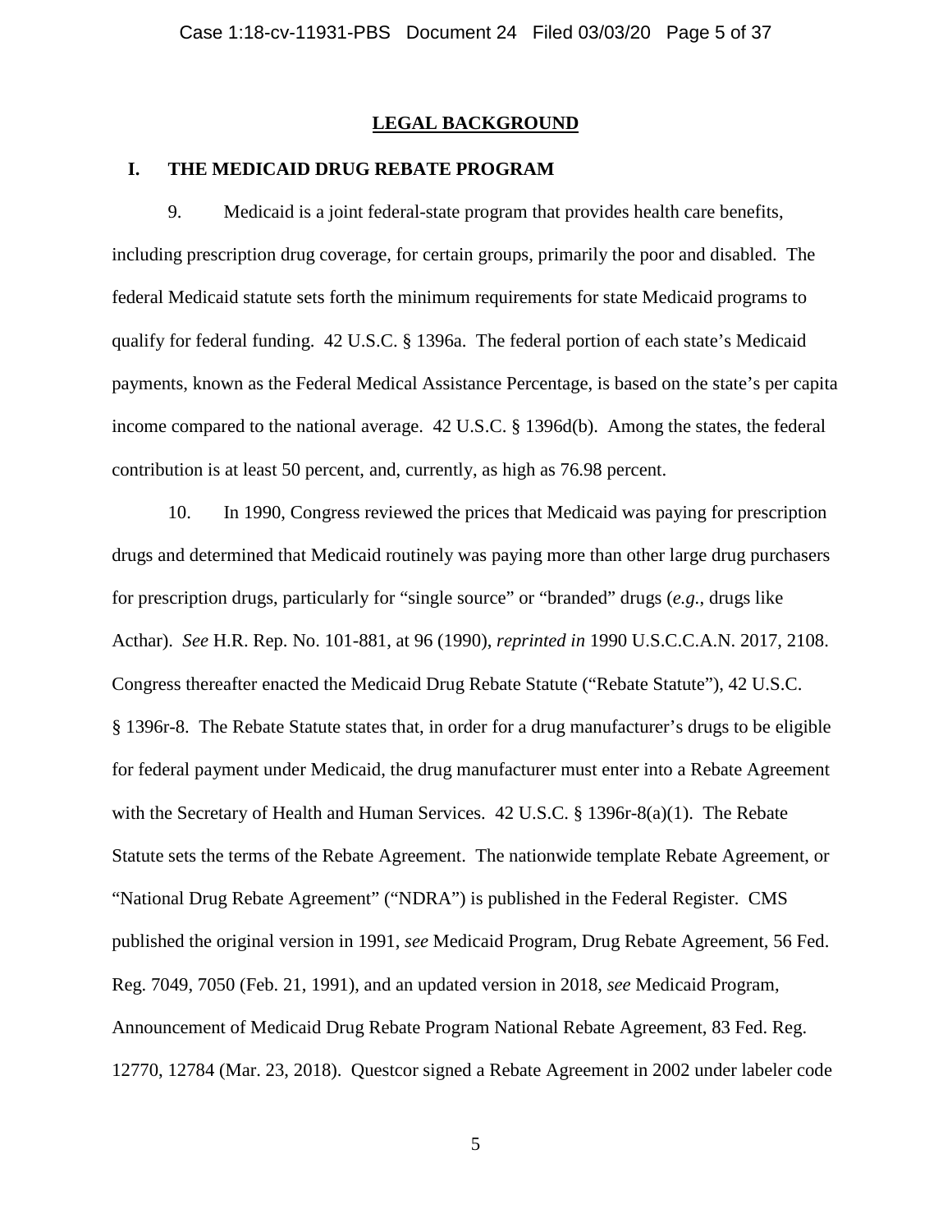### **LEGAL BACKGROUND**

#### **I. THE MEDICAID DRUG REBATE PROGRAM**

9. Medicaid is a joint federal-state program that provides health care benefits, including prescription drug coverage, for certain groups, primarily the poor and disabled. The federal Medicaid statute sets forth the minimum requirements for state Medicaid programs to qualify for federal funding. 42 U.S.C. § 1396a. The federal portion of each state's Medicaid payments, known as the Federal Medical Assistance Percentage, is based on the state's per capita income compared to the national average. 42 U.S.C. § 1396d(b). Among the states, the federal contribution is at least 50 percent, and, currently, as high as 76.98 percent.

10. In 1990, Congress reviewed the prices that Medicaid was paying for prescription drugs and determined that Medicaid routinely was paying more than other large drug purchasers for prescription drugs, particularly for "single source" or "branded" drugs (*e.g.*, drugs like Acthar). *See* H.R. Rep. No. 101-881, at 96 (1990), *reprinted in* 1990 U.S.C.C.A.N. 2017, 2108. Congress thereafter enacted the Medicaid Drug Rebate Statute ("Rebate Statute"), 42 U.S.C. § 1396r-8. The Rebate Statute states that, in order for a drug manufacturer's drugs to be eligible for federal payment under Medicaid, the drug manufacturer must enter into a Rebate Agreement with the Secretary of Health and Human Services. 42 U.S.C. § 1396r-8(a)(1). The Rebate Statute sets the terms of the Rebate Agreement. The nationwide template Rebate Agreement, or "National Drug Rebate Agreement" ("NDRA") is published in the Federal Register. CMS published the original version in 1991, *see* Medicaid Program, Drug Rebate Agreement, 56 Fed. Reg. 7049, 7050 (Feb. 21, 1991), and an updated version in 2018, *see* Medicaid Program, Announcement of Medicaid Drug Rebate Program National Rebate Agreement, 83 Fed. Reg. 12770, 12784 (Mar. 23, 2018). Questcor signed a Rebate Agreement in 2002 under labeler code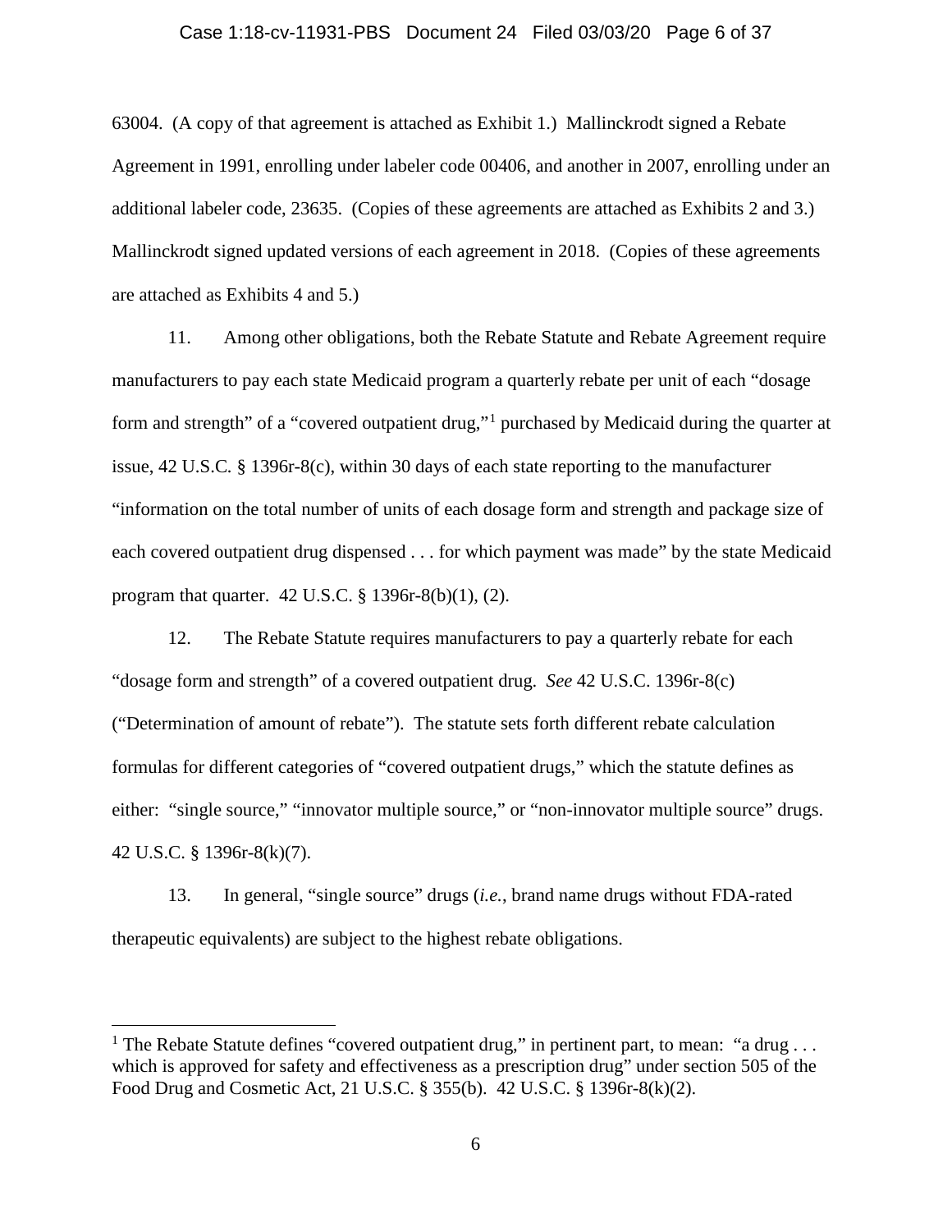#### Case 1:18-cv-11931-PBS Document 24 Filed 03/03/20 Page 6 of 37

63004. (A copy of that agreement is attached as Exhibit 1.) Mallinckrodt signed a Rebate Agreement in 1991, enrolling under labeler code 00406, and another in 2007, enrolling under an additional labeler code, 23635. (Copies of these agreements are attached as Exhibits 2 and 3.) Mallinckrodt signed updated versions of each agreement in 2018. (Copies of these agreements are attached as Exhibits 4 and 5.)

11. Among other obligations, both the Rebate Statute and Rebate Agreement require manufacturers to pay each state Medicaid program a quarterly rebate per unit of each "dosage form and strength" of a "covered outpatient drug,"[1](#page-5-0) purchased by Medicaid during the quarter at issue, 42 U.S.C*.* § 1396r-8(c), within 30 days of each state reporting to the manufacturer "information on the total number of units of each dosage form and strength and package size of each covered outpatient drug dispensed . . . for which payment was made" by the state Medicaid program that quarter. 42 U.S.C. § 1396r-8(b)(1), (2).

12. The Rebate Statute requires manufacturers to pay a quarterly rebate for each "dosage form and strength" of a covered outpatient drug. *See* 42 U.S.C. 1396r-8(c) ("Determination of amount of rebate"). The statute sets forth different rebate calculation formulas for different categories of "covered outpatient drugs," which the statute defines as either: "single source," "innovator multiple source," or "non-innovator multiple source" drugs. 42 U.S.C. § 1396r-8(k)(7).

13. In general, "single source" drugs (*i.e.*, brand name drugs without FDA-rated therapeutic equivalents) are subject to the highest rebate obligations.

<span id="page-5-0"></span><sup>&</sup>lt;sup>1</sup> The Rebate Statute defines "covered outpatient drug," in pertinent part, to mean: "a drug ... which is approved for safety and effectiveness as a prescription drug" under section 505 of the Food Drug and Cosmetic Act, 21 U.S.C. § 355(b). 42 U.S.C. § 1396r-8(k)(2).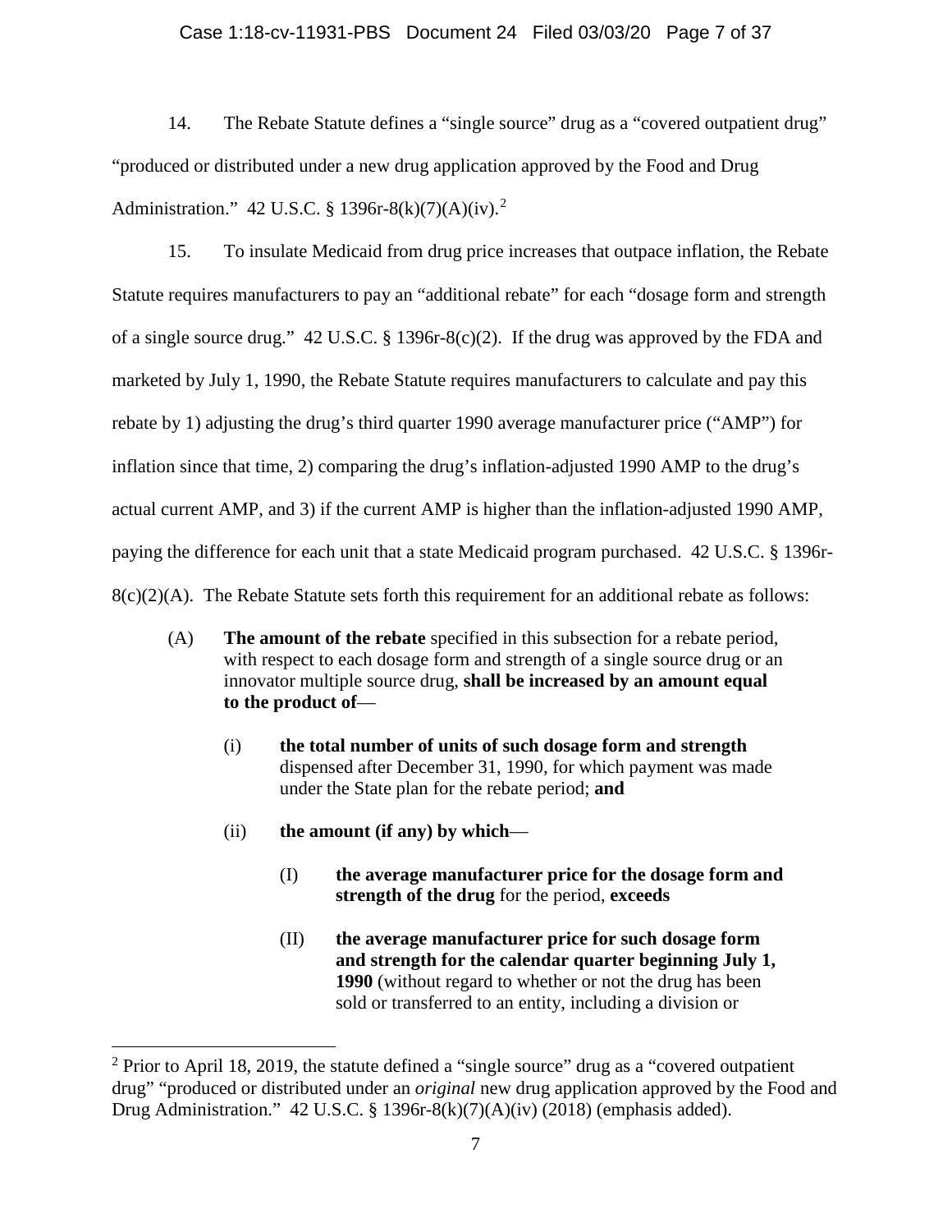### Case 1:18-cv-11931-PBS Document 24 Filed 03/03/20 Page 7 of 37

14. The Rebate Statute defines a "single source" drug as a "covered outpatient drug" "produced or distributed under a new drug application approved by the Food and Drug Administration." 4[2](#page-6-0) U.S.C. § 1396r-8(k)(7)(A)(iv).<sup>2</sup>

15. To insulate Medicaid from drug price increases that outpace inflation, the Rebate Statute requires manufacturers to pay an "additional rebate" for each "dosage form and strength of a single source drug." 42 U.S.C. § 1396r-8(c)(2). If the drug was approved by the FDA and marketed by July 1, 1990, the Rebate Statute requires manufacturers to calculate and pay this rebate by 1) adjusting the drug's third quarter 1990 average manufacturer price ("AMP") for inflation since that time, 2) comparing the drug's inflation-adjusted 1990 AMP to the drug's actual current AMP, and 3) if the current AMP is higher than the inflation-adjusted 1990 AMP, paying the difference for each unit that a state Medicaid program purchased. 42 U.S.C. § 1396r- $8(c)(2)(A)$ . The Rebate Statute sets forth this requirement for an additional rebate as follows:

- (A) **The amount of the rebate** specified in this subsection for a rebate period, with respect to each dosage form and strength of a single source drug or an innovator multiple source drug, **shall be increased by an amount equal to the product of**—
	- (i) **the total number of units of such dosage form and strength** dispensed after December 31, 1990, for which payment was made under the State plan for the rebate period; **and**
	- (ii) **the amount (if any) by which**
		- (I) **the average manufacturer price for the dosage form and strength of the drug** for the period, **exceeds**
		- (II) **the average manufacturer price for such dosage form and strength for the calendar quarter beginning July 1, 1990** (without regard to whether or not the drug has been sold or transferred to an entity, including a division or

<span id="page-6-0"></span> $2$  Prior to April 18, 2019, the statute defined a "single source" drug as a "covered outpatient" drug" "produced or distributed under an *original* new drug application approved by the Food and Drug Administration." 42 U.S.C. § 1396r-8(k)(7)(A)(iv) (2018) (emphasis added).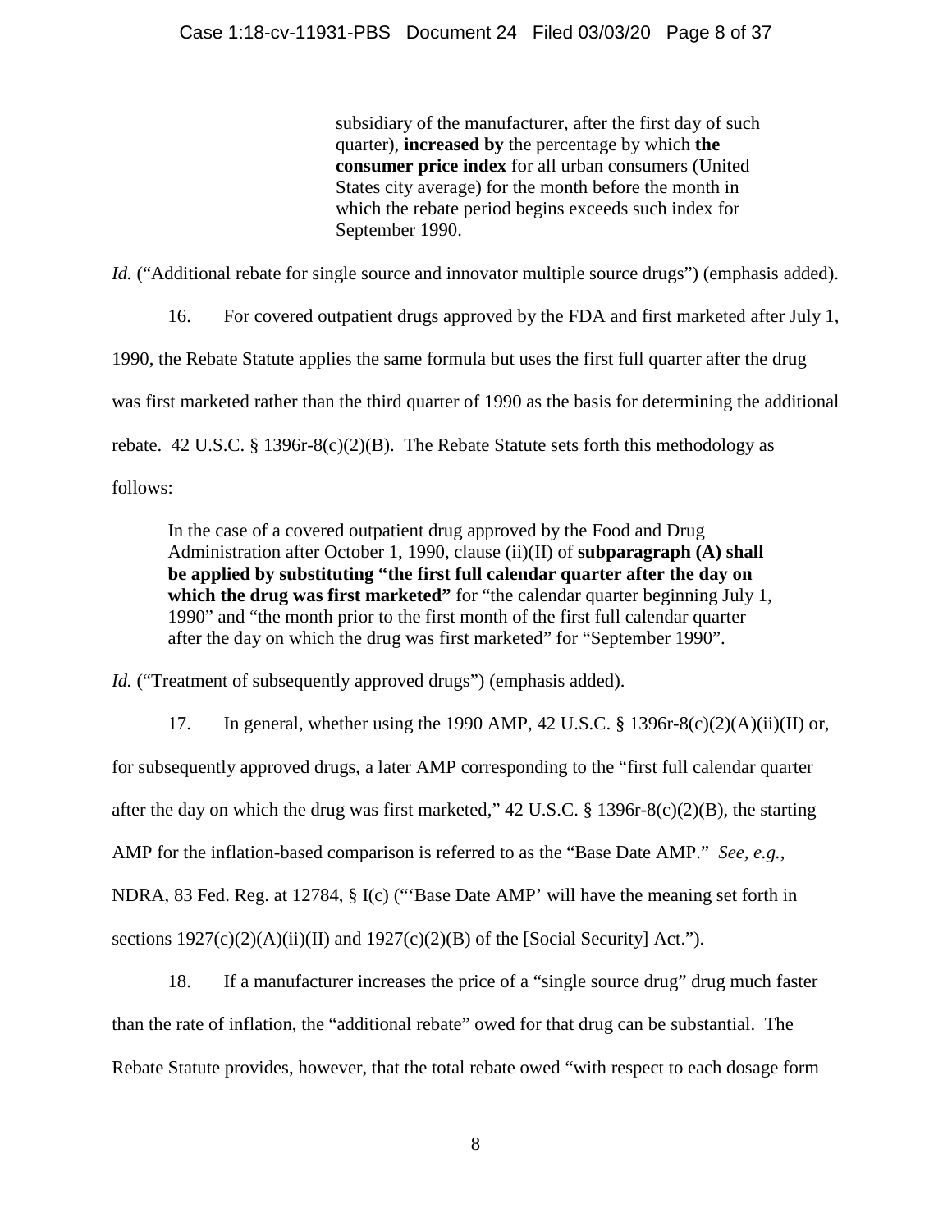subsidiary of the manufacturer, after the first day of such quarter), **increased by** the percentage by which **the consumer price index** for all urban consumers (United States city average) for the month before the month in which the rebate period begins exceeds such index for September 1990.

*Id.* ("Additional rebate for single source and innovator multiple source drugs") (emphasis added).

16. For covered outpatient drugs approved by the FDA and first marketed after July 1, 1990, the Rebate Statute applies the same formula but uses the first full quarter after the drug was first marketed rather than the third quarter of 1990 as the basis for determining the additional rebate. 42 U.S.C. § 1396r-8(c)(2)(B). The Rebate Statute sets forth this methodology as follows:

In the case of a covered outpatient drug approved by the Food and Drug Administration after October 1, 1990, clause (ii)(II) of **subparagraph (A) shall be applied by substituting "the first full calendar quarter after the day on**  which the drug was first marketed" for "the calendar quarter beginning July 1, 1990" and "the month prior to the first month of the first full calendar quarter after the day on which the drug was first marketed" for "September 1990".

Id. ("Treatment of subsequently approved drugs") (emphasis added).

17. In general, whether using the 1990 AMP, 42 U.S.C.  $\S$  1396r-8(c)(2)(A)(ii)(II) or, for subsequently approved drugs, a later AMP corresponding to the "first full calendar quarter after the day on which the drug was first marketed," 42 U.S.C. § 1396r-8(c)(2)(B), the starting AMP for the inflation-based comparison is referred to as the "Base Date AMP." *See, e.g.*, NDRA, 83 Fed. Reg. at 12784, § I(c) ("'Base Date AMP' will have the meaning set forth in sections  $1927(c)(2)(A)(ii)(II)$  and  $1927(c)(2)(B)$  of the [Social Security] Act.").

18. If a manufacturer increases the price of a "single source drug" drug much faster than the rate of inflation, the "additional rebate" owed for that drug can be substantial. The Rebate Statute provides, however, that the total rebate owed "with respect to each dosage form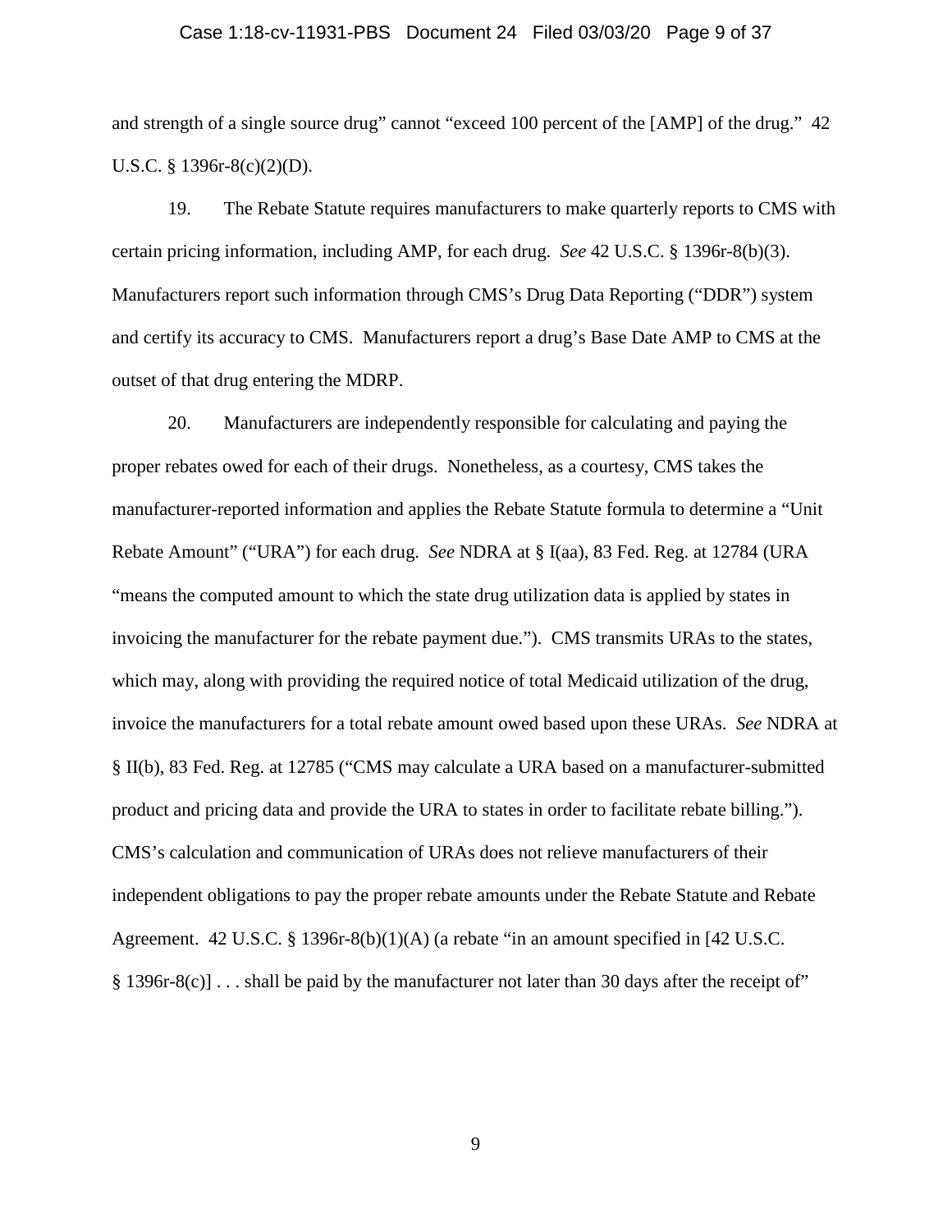#### Case 1:18-cv-11931-PBS Document 24 Filed 03/03/20 Page 9 of 37

and strength of a single source drug" cannot "exceed 100 percent of the [AMP] of the drug." 42 U.S.C. § 1396r-8(c)(2)(D).

19. The Rebate Statute requires manufacturers to make quarterly reports to CMS with certain pricing information, including AMP, for each drug. *See* 42 U.S.C. § 1396r-8(b)(3). Manufacturers report such information through CMS's Drug Data Reporting ("DDR") system and certify its accuracy to CMS. Manufacturers report a drug's Base Date AMP to CMS at the outset of that drug entering the MDRP.

20. Manufacturers are independently responsible for calculating and paying the proper rebates owed for each of their drugs. Nonetheless, as a courtesy, CMS takes the manufacturer-reported information and applies the Rebate Statute formula to determine a "Unit Rebate Amount" ("URA") for each drug. *See* NDRA at § I(aa), 83 Fed. Reg. at 12784 (URA "means the computed amount to which the state drug utilization data is applied by states in invoicing the manufacturer for the rebate payment due."). CMS transmits URAs to the states, which may, along with providing the required notice of total Medicaid utilization of the drug, invoice the manufacturers for a total rebate amount owed based upon these URAs. *See* NDRA at § II(b), 83 Fed. Reg. at 12785 ("CMS may calculate a URA based on a manufacturer-submitted product and pricing data and provide the URA to states in order to facilitate rebate billing."). CMS's calculation and communication of URAs does not relieve manufacturers of their independent obligations to pay the proper rebate amounts under the Rebate Statute and Rebate Agreement. 42 U.S.C. § 1396r-8(b)(1)(A) (a rebate "in an amount specified in [42 U.S.C. § 1396r-8(c)] . . . shall be paid by the manufacturer not later than 30 days after the receipt of"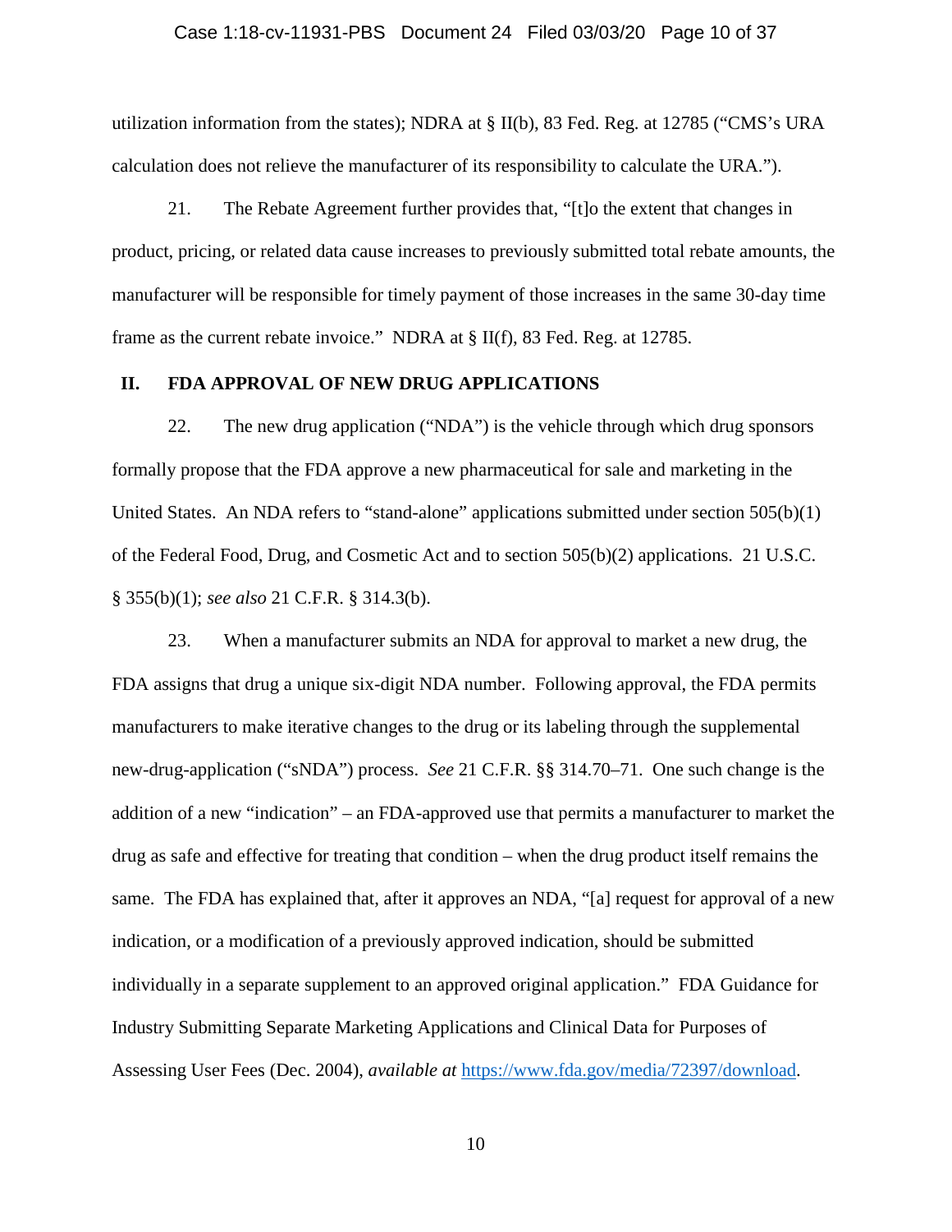#### Case 1:18-cv-11931-PBS Document 24 Filed 03/03/20 Page 10 of 37

utilization information from the states); NDRA at § II(b), 83 Fed. Reg. at 12785 ("CMS's URA calculation does not relieve the manufacturer of its responsibility to calculate the URA.").

21. The Rebate Agreement further provides that, "[t]o the extent that changes in product, pricing, or related data cause increases to previously submitted total rebate amounts, the manufacturer will be responsible for timely payment of those increases in the same 30-day time frame as the current rebate invoice." NDRA at § II(f), 83 Fed. Reg. at 12785.

#### **II. FDA APPROVAL OF NEW DRUG APPLICATIONS**

22. The new drug application ("NDA") is the vehicle through which drug sponsors formally propose that the FDA approve a new pharmaceutical for sale and marketing in the United States. An NDA refers to "stand-alone" applications submitted under section 505(b)(1) of the Federal Food, Drug, and Cosmetic Act and to section 505(b)(2) applications. 21 U.S.C. § 355(b)(1); *see also* 21 C.F.R. § 314.3(b).

23. When a manufacturer submits an NDA for approval to market a new drug, the FDA assigns that drug a unique six-digit NDA number. Following approval, the FDA permits manufacturers to make iterative changes to the drug or its labeling through the supplemental new-drug-application ("sNDA") process. *See* 21 C.F.R. §§ 314.70–71. One such change is the addition of a new "indication" – an FDA-approved use that permits a manufacturer to market the drug as safe and effective for treating that condition – when the drug product itself remains the same. The FDA has explained that, after it approves an NDA, "[a] request for approval of a new indication, or a modification of a previously approved indication, should be submitted individually in a separate supplement to an approved original application." FDA Guidance for Industry Submitting Separate Marketing Applications and Clinical Data for Purposes of Assessing User Fees (Dec. 2004), *available at* [https://www.fda.gov/media/72397/download.](https://www.fda.gov/media/72397/download)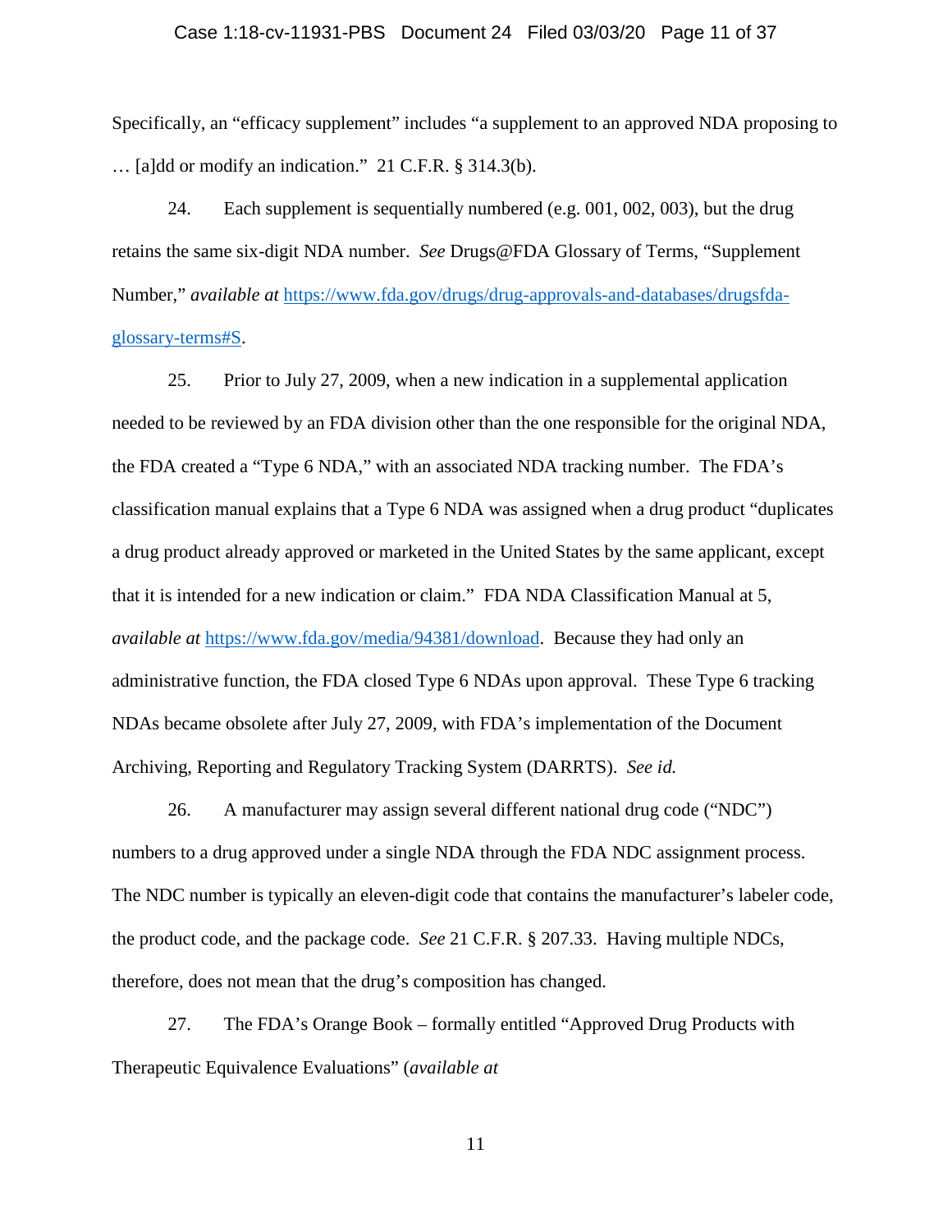#### Case 1:18-cv-11931-PBS Document 24 Filed 03/03/20 Page 11 of 37

Specifically, an "efficacy supplement" includes "a supplement to an approved NDA proposing to … [a]dd or modify an indication." 21 C.F.R. § 314.3(b).

24. Each supplement is sequentially numbered (e.g. 001, 002, 003), but the drug retains the same six-digit NDA number. *See* Drugs@FDA Glossary of Terms, "Supplement Number," *available at* [https://www.fda.gov/drugs/drug-approvals-and-databases/drugsfda](https://www.fda.gov/drugs/drug-approvals-and-databases/drugsfda-glossary-terms#S)[glossary-terms#S.](https://www.fda.gov/drugs/drug-approvals-and-databases/drugsfda-glossary-terms#S)

25. Prior to July 27, 2009, when a new indication in a supplemental application needed to be reviewed by an FDA division other than the one responsible for the original NDA, the FDA created a "Type 6 NDA," with an associated NDA tracking number. The FDA's classification manual explains that a Type 6 NDA was assigned when a drug product "duplicates a drug product already approved or marketed in the United States by the same applicant, except that it is intended for a new indication or claim." FDA NDA Classification Manual at 5, *available at* [https://www.fda.gov/media/94381/download.](https://www.fda.gov/media/94381/download) Because they had only an administrative function, the FDA closed Type 6 NDAs upon approval. These Type 6 tracking NDAs became obsolete after July 27, 2009, with FDA's implementation of the Document Archiving, Reporting and Regulatory Tracking System (DARRTS). *See id.*

26. A manufacturer may assign several different national drug code ("NDC") numbers to a drug approved under a single NDA through the FDA NDC assignment process. The NDC number is typically an eleven-digit code that contains the manufacturer's labeler code, the product code, and the package code. *See* 21 C.F.R. § 207.33. Having multiple NDCs, therefore, does not mean that the drug's composition has changed.

27. The FDA's Orange Book – formally entitled "Approved Drug Products with Therapeutic Equivalence Evaluations" (*available at*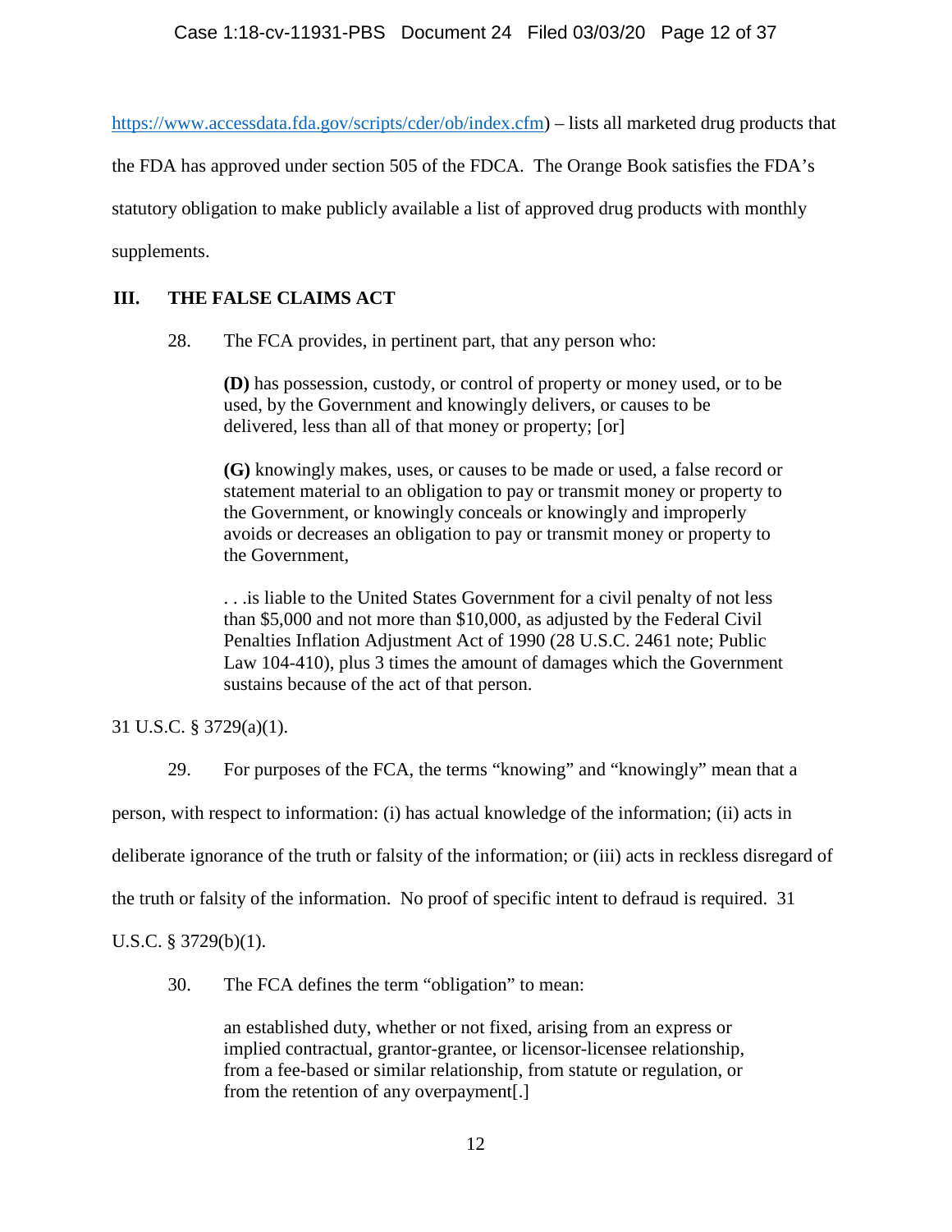[https://www.accessdata.fda.gov/scripts/cder/ob/index.cfm\)](https://www.accessdata.fda.gov/scripts/cder/ob/index.cfm) – lists all marketed drug products that

the FDA has approved under section 505 of the FDCA. The Orange Book satisfies the FDA's

statutory obligation to make publicly available a list of approved drug products with monthly

supplements.

# **III. THE FALSE CLAIMS ACT**

28. The FCA provides, in pertinent part, that any person who:

**(D)** has possession, custody, or control of property or money used, or to be used, by the Government and knowingly delivers, or causes to be delivered, less than all of that money or property; [or]

**(G)** knowingly makes, uses, or causes to be made or used, a false record or statement material to an obligation to pay or transmit money or property to the Government, or knowingly conceals or knowingly and improperly avoids or decreases an obligation to pay or transmit money or property to the Government,

. . .is liable to the United States Government for a civil penalty of not less than \$5,000 and not more than \$10,000, as adjusted by the Federal Civil Penalties Inflation Adjustment Act of 1990 (28 U.S.C. 2461 note; Public Law 104-410), plus 3 times the amount of damages which the Government sustains because of the act of that person.

31 U.S.C. § 3729(a)(1).

29. For purposes of the FCA, the terms "knowing" and "knowingly" mean that a

person, with respect to information: (i) has actual knowledge of the information; (ii) acts in

deliberate ignorance of the truth or falsity of the information; or (iii) acts in reckless disregard of

the truth or falsity of the information. No proof of specific intent to defraud is required. 31

U.S.C. § 3729(b)(1).

30. The FCA defines the term "obligation" to mean:

an established duty, whether or not fixed, arising from an express or implied contractual, grantor-grantee, or licensor-licensee relationship, from a fee-based or similar relationship, from statute or regulation, or from the retention of any overpayment[.]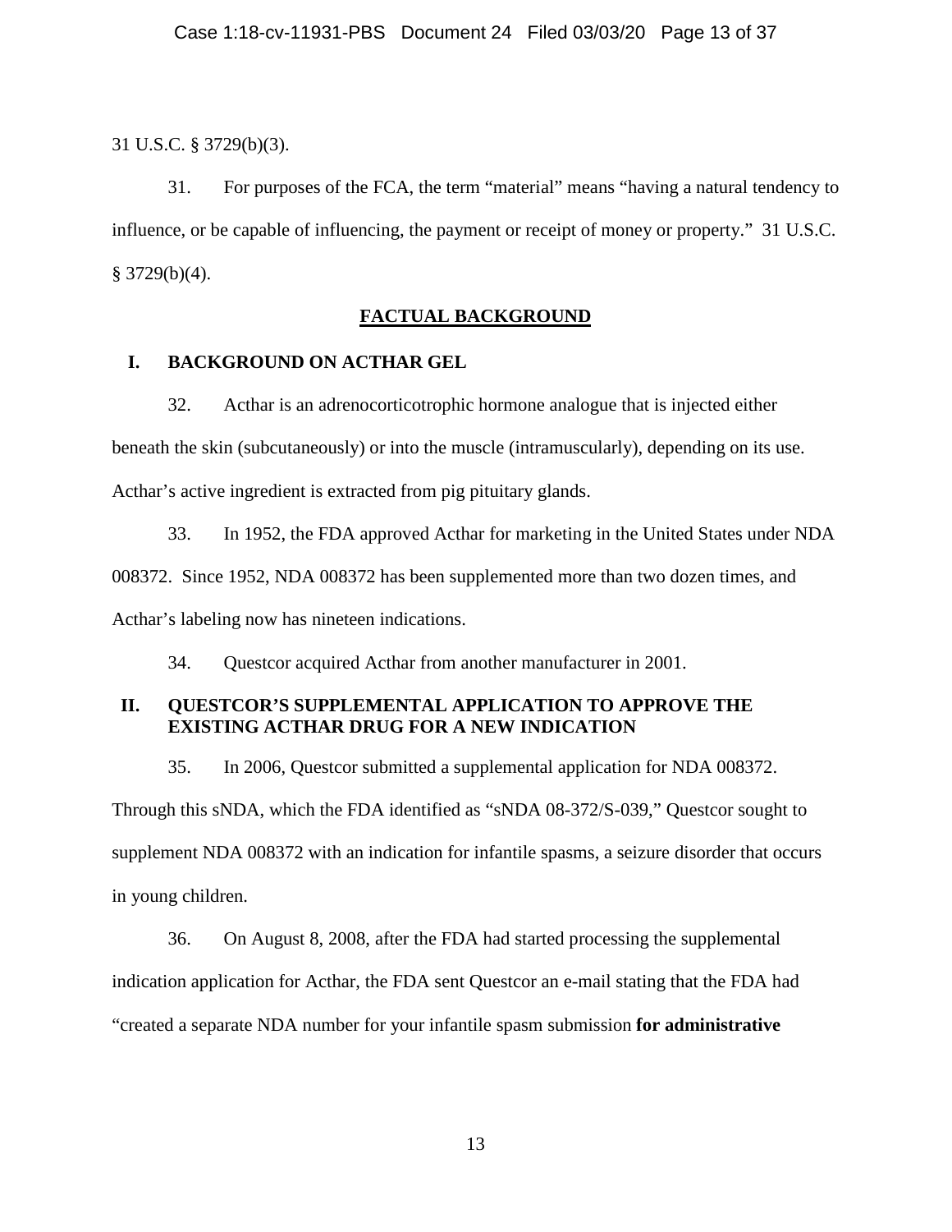31 U.S.C. § 3729(b)(3).

31. For purposes of the FCA, the term "material" means "having a natural tendency to influence, or be capable of influencing, the payment or receipt of money or property." 31 U.S.C. § 3729(b)(4).

## **FACTUAL BACKGROUND**

### **I. BACKGROUND ON ACTHAR GEL**

32. Acthar is an adrenocorticotrophic hormone analogue that is injected either beneath the skin (subcutaneously) or into the muscle (intramuscularly), depending on its use. Acthar's active ingredient is extracted from pig pituitary glands.

33. In 1952, the FDA approved Acthar for marketing in the United States under NDA 008372. Since 1952, NDA 008372 has been supplemented more than two dozen times, and Acthar's labeling now has nineteen indications.

34. Questcor acquired Acthar from another manufacturer in 2001.

# **II. QUESTCOR'S SUPPLEMENTAL APPLICATION TO APPROVE THE EXISTING ACTHAR DRUG FOR A NEW INDICATION**

35. In 2006, Questcor submitted a supplemental application for NDA 008372. Through this sNDA, which the FDA identified as "sNDA 08-372/S-039," Questcor sought to supplement NDA 008372 with an indication for infantile spasms, a seizure disorder that occurs in young children.

36. On August 8, 2008, after the FDA had started processing the supplemental indication application for Acthar, the FDA sent Questcor an e-mail stating that the FDA had "created a separate NDA number for your infantile spasm submission **for administrative**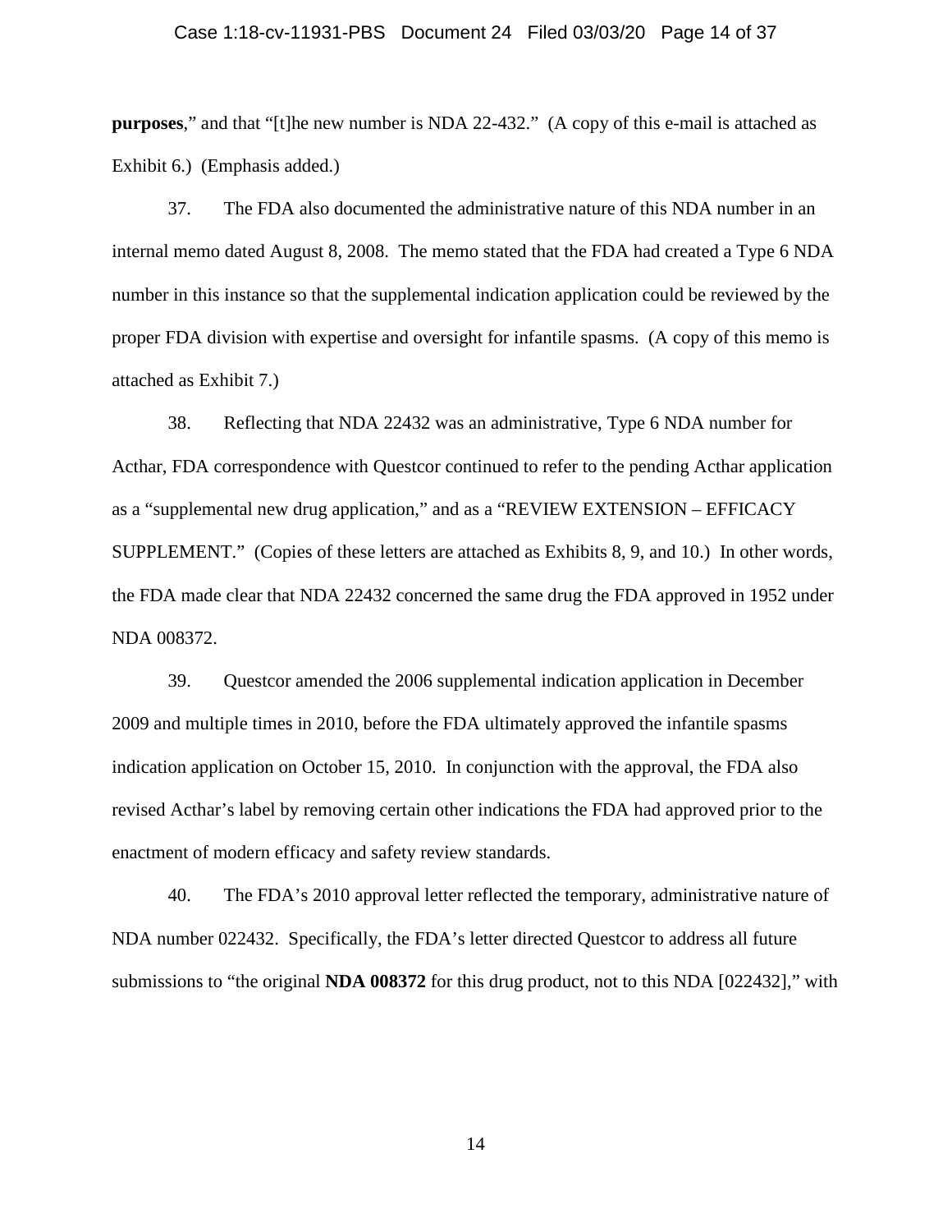#### Case 1:18-cv-11931-PBS Document 24 Filed 03/03/20 Page 14 of 37

**purposes**," and that "[t]he new number is NDA 22-432." (A copy of this e-mail is attached as Exhibit 6.) (Emphasis added.)

37. The FDA also documented the administrative nature of this NDA number in an internal memo dated August 8, 2008. The memo stated that the FDA had created a Type 6 NDA number in this instance so that the supplemental indication application could be reviewed by the proper FDA division with expertise and oversight for infantile spasms. (A copy of this memo is attached as Exhibit 7.)

38. Reflecting that NDA 22432 was an administrative, Type 6 NDA number for Acthar, FDA correspondence with Questcor continued to refer to the pending Acthar application as a "supplemental new drug application," and as a "REVIEW EXTENSION – EFFICACY SUPPLEMENT." (Copies of these letters are attached as Exhibits 8, 9, and 10.) In other words, the FDA made clear that NDA 22432 concerned the same drug the FDA approved in 1952 under NDA 008372.

39. Questcor amended the 2006 supplemental indication application in December 2009 and multiple times in 2010, before the FDA ultimately approved the infantile spasms indication application on October 15, 2010. In conjunction with the approval, the FDA also revised Acthar's label by removing certain other indications the FDA had approved prior to the enactment of modern efficacy and safety review standards.

40. The FDA's 2010 approval letter reflected the temporary, administrative nature of NDA number 022432. Specifically, the FDA's letter directed Questcor to address all future submissions to "the original **NDA 008372** for this drug product, not to this NDA [022432]," with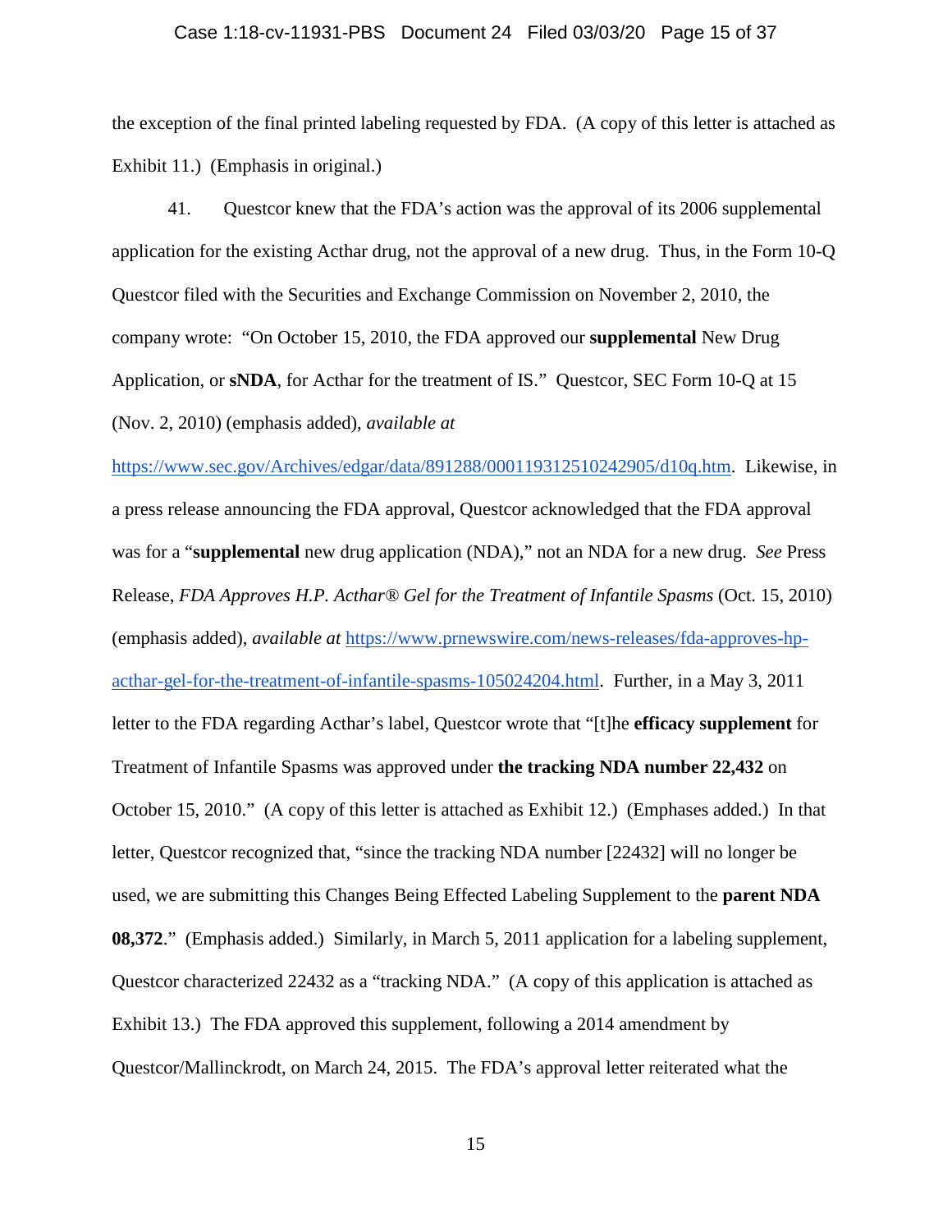#### Case 1:18-cv-11931-PBS Document 24 Filed 03/03/20 Page 15 of 37

the exception of the final printed labeling requested by FDA. (A copy of this letter is attached as Exhibit 11.) (Emphasis in original.)

41. Questcor knew that the FDA's action was the approval of its 2006 supplemental application for the existing Acthar drug, not the approval of a new drug. Thus, in the Form 10-Q Questcor filed with the Securities and Exchange Commission on November 2, 2010, the company wrote: "On October 15, 2010, the FDA approved our **supplemental** New Drug Application, or **sNDA**, for Acthar for the treatment of IS." Questcor, SEC Form 10-Q at 15 (Nov. 2, 2010) (emphasis added), *available at* 

[https://www.sec.gov/Archives/edgar/data/891288/000119312510242905/d10q.htm.](https://www.sec.gov/Archives/edgar/data/891288/000119312510242905/d10q.htm) Likewise, in a press release announcing the FDA approval, Questcor acknowledged that the FDA approval was for a "**supplemental** new drug application (NDA)," not an NDA for a new drug. *See* Press Release, *FDA Approves H.P. Acthar® Gel for the Treatment of Infantile Spasms* (Oct. 15, 2010) (emphasis added), *available at* [https://www.prnewswire.com/news-releases/fda-approves-hp](https://www.prnewswire.com/news-releases/fda-approves-hp-acthar-gel-for-the-treatment-of-infantile-spasms-105024204.html)[acthar-gel-for-the-treatment-of-infantile-spasms-105024204.html.](https://www.prnewswire.com/news-releases/fda-approves-hp-acthar-gel-for-the-treatment-of-infantile-spasms-105024204.html) Further, in a May 3, 2011 letter to the FDA regarding Acthar's label, Questcor wrote that "[t]he **efficacy supplement** for Treatment of Infantile Spasms was approved under **the tracking NDA number 22,432** on October 15, 2010." (A copy of this letter is attached as Exhibit 12.) (Emphases added.) In that letter, Questcor recognized that, "since the tracking NDA number [22432] will no longer be used, we are submitting this Changes Being Effected Labeling Supplement to the **parent NDA 08,372.**" (Emphasis added.) Similarly, in March 5, 2011 application for a labeling supplement, Questcor characterized 22432 as a "tracking NDA." (A copy of this application is attached as Exhibit 13.) The FDA approved this supplement, following a 2014 amendment by Questcor/Mallinckrodt, on March 24, 2015. The FDA's approval letter reiterated what the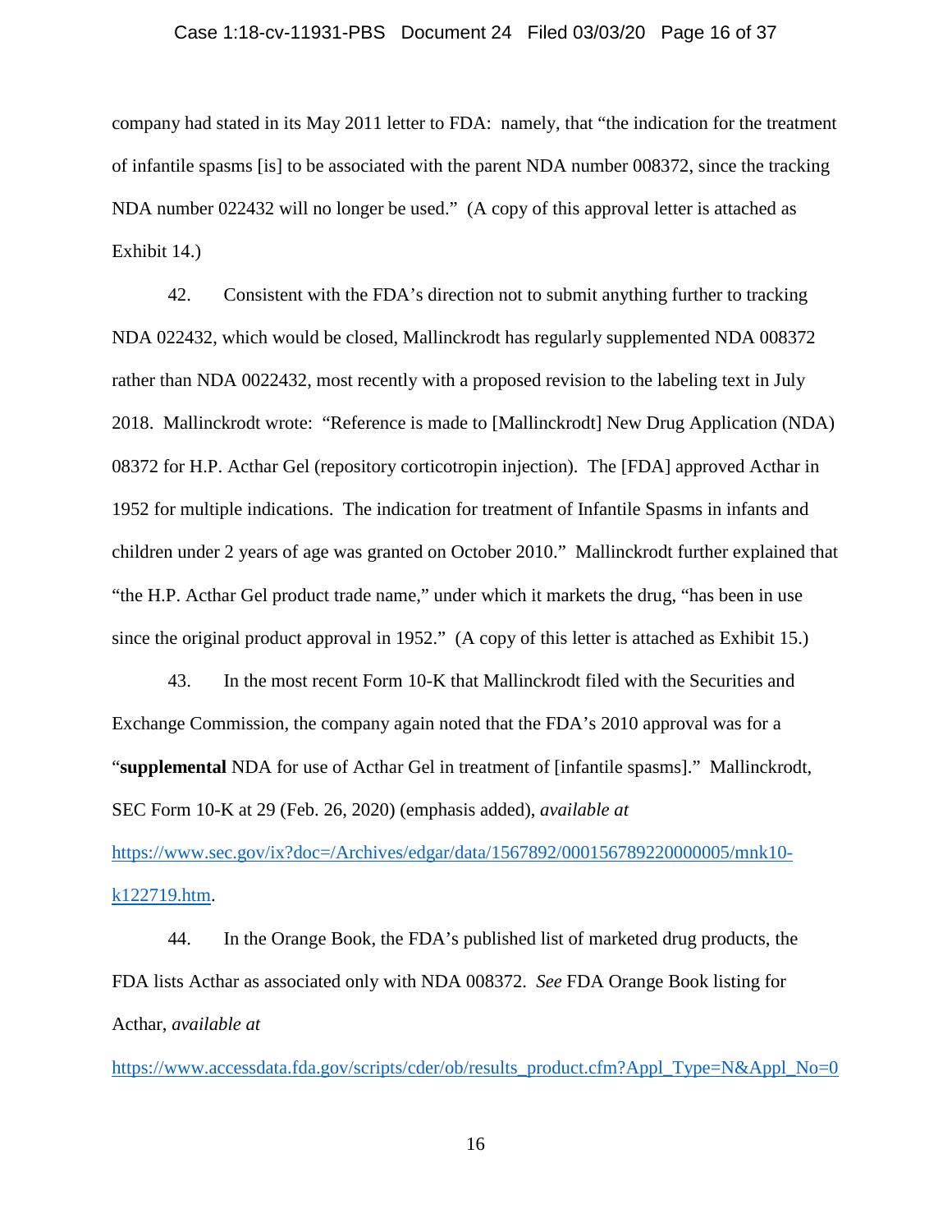#### Case 1:18-cv-11931-PBS Document 24 Filed 03/03/20 Page 16 of 37

company had stated in its May 2011 letter to FDA: namely, that "the indication for the treatment of infantile spasms [is] to be associated with the parent NDA number 008372, since the tracking NDA number 022432 will no longer be used." (A copy of this approval letter is attached as Exhibit 14.)

42. Consistent with the FDA's direction not to submit anything further to tracking NDA 022432, which would be closed, Mallinckrodt has regularly supplemented NDA 008372 rather than NDA 0022432, most recently with a proposed revision to the labeling text in July 2018. Mallinckrodt wrote: "Reference is made to [Mallinckrodt] New Drug Application (NDA) 08372 for H.P. Acthar Gel (repository corticotropin injection). The [FDA] approved Acthar in 1952 for multiple indications. The indication for treatment of Infantile Spasms in infants and children under 2 years of age was granted on October 2010." Mallinckrodt further explained that "the H.P. Acthar Gel product trade name," under which it markets the drug, "has been in use since the original product approval in 1952." (A copy of this letter is attached as Exhibit 15.)

43. In the most recent Form 10-K that Mallinckrodt filed with the Securities and Exchange Commission, the company again noted that the FDA's 2010 approval was for a "**supplemental** NDA for use of Acthar Gel in treatment of [infantile spasms]." Mallinckrodt, SEC Form 10-K at 29 (Feb. 26, 2020) (emphasis added), *available at*

[https://www.sec.gov/ix?doc=/Archives/edgar/data/1567892/000156789220000005/mnk10](https://www.sec.gov/ix?doc=/Archives/edgar/data/1567892/000156789220000005/mnk10-k122719.htm) [k122719.htm.](https://www.sec.gov/ix?doc=/Archives/edgar/data/1567892/000156789220000005/mnk10-k122719.htm)

44. In the Orange Book, the FDA's published list of marketed drug products, the FDA lists Acthar as associated only with NDA 008372. *See* FDA Orange Book listing for Acthar, *available at* 

[https://www.accessdata.fda.gov/scripts/cder/ob/results\\_product.cfm?Appl\\_Type=N&Appl\\_No=0](https://www.accessdata.fda.gov/scripts/cder/ob/results_product.cfm?Appl_Type=N&Appl_No=008372#17292)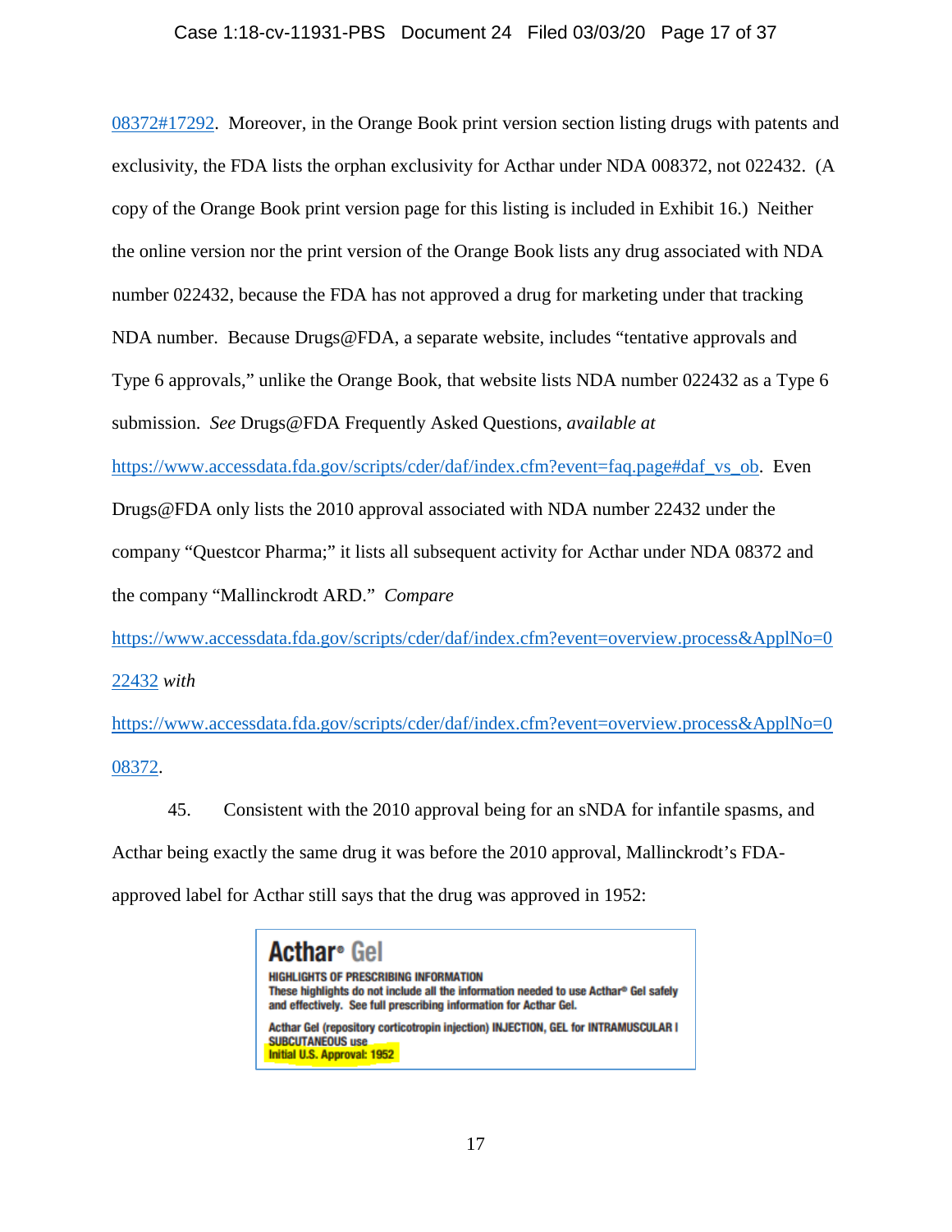## Case 1:18-cv-11931-PBS Document 24 Filed 03/03/20 Page 17 of 37

[08372#17292.](https://www.accessdata.fda.gov/scripts/cder/ob/results_product.cfm?Appl_Type=N&Appl_No=008372#17292) Moreover, in the Orange Book print version section listing drugs with patents and exclusivity, the FDA lists the orphan exclusivity for Acthar under NDA 008372, not 022432. (A copy of the Orange Book print version page for this listing is included in Exhibit 16.) Neither the online version nor the print version of the Orange Book lists any drug associated with NDA number 022432, because the FDA has not approved a drug for marketing under that tracking NDA number. Because Drugs@FDA, a separate website, includes "tentative approvals and Type 6 approvals," unlike the Orange Book, that website lists NDA number 022432 as a Type 6 submission. *See* Drugs@FDA Frequently Asked Questions, *available at*

[https://www.accessdata.fda.gov/scripts/cder/daf/index.cfm?event=faq.page#daf\\_vs\\_ob.](https://www.accessdata.fda.gov/scripts/cder/daf/index.cfm?event=faq.page#daf_vs_ob) Even

Drugs@FDA only lists the 2010 approval associated with NDA number 22432 under the

company "Questcor Pharma;" it lists all subsequent activity for Acthar under NDA 08372 and

the company "Mallinckrodt ARD." *Compare*

[https://www.accessdata.fda.gov/scripts/cder/daf/index.cfm?event=overview.process&ApplNo=0](https://www.accessdata.fda.gov/scripts/cder/daf/index.cfm?event=overview.process&ApplNo=022432) [22432](https://www.accessdata.fda.gov/scripts/cder/daf/index.cfm?event=overview.process&ApplNo=022432) *with*

[https://www.accessdata.fda.gov/scripts/cder/daf/index.cfm?event=overview.process&ApplNo=0](https://www.accessdata.fda.gov/scripts/cder/daf/index.cfm?event=overview.process&ApplNo=008372) [08372.](https://www.accessdata.fda.gov/scripts/cder/daf/index.cfm?event=overview.process&ApplNo=008372)

45. Consistent with the 2010 approval being for an sNDA for infantile spasms, and Acthar being exactly the same drug it was before the 2010 approval, Mallinckrodt's FDA-

approved label for Acthar still says that the drug was approved in 1952:

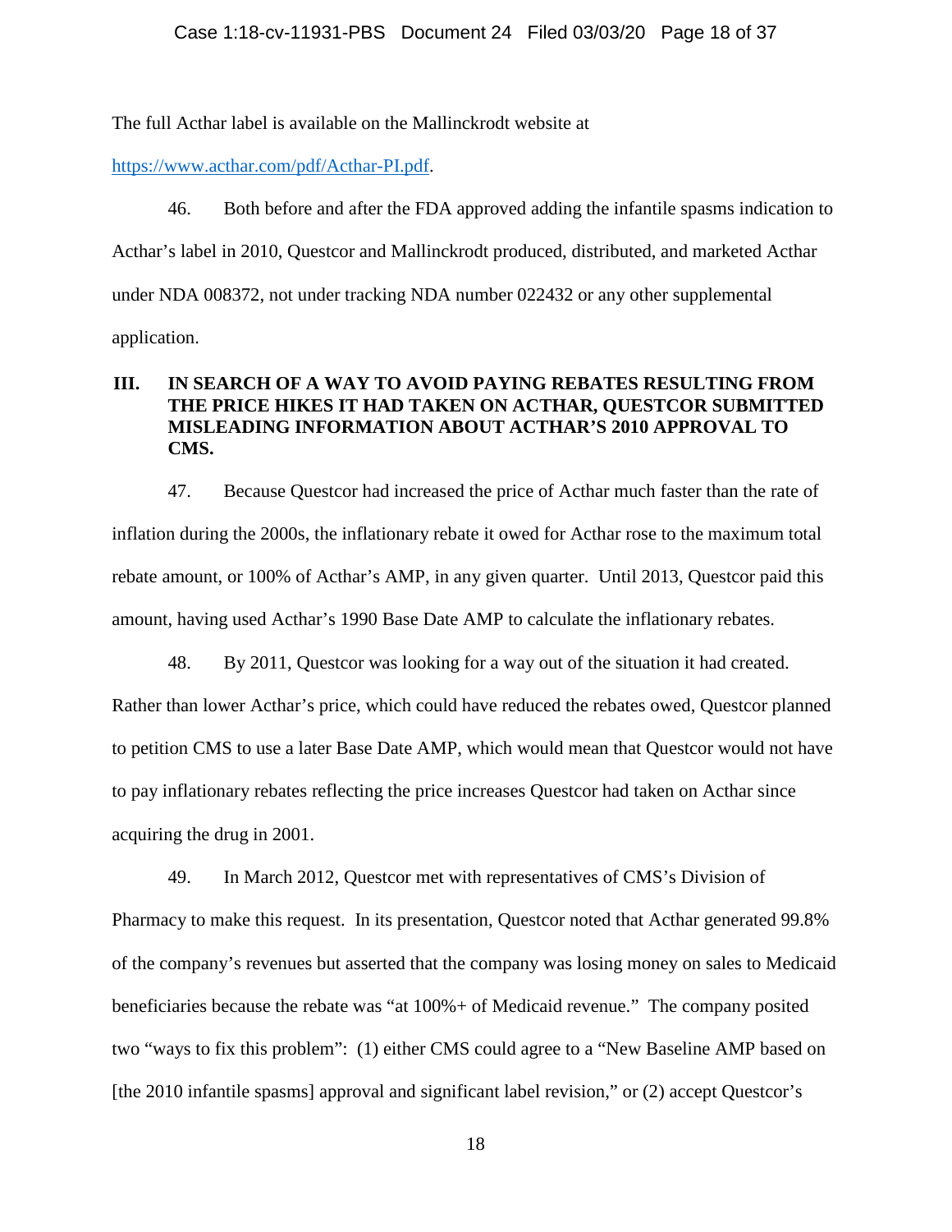The full Acthar label is available on the Mallinckrodt website at

[https://www.acthar.com/pdf/Acthar-PI.pdf.](https://www.acthar.com/pdf/Acthar-PI.pdf)

46. Both before and after the FDA approved adding the infantile spasms indication to Acthar's label in 2010, Questcor and Mallinckrodt produced, distributed, and marketed Acthar under NDA 008372, not under tracking NDA number 022432 or any other supplemental application.

# **III. IN SEARCH OF A WAY TO AVOID PAYING REBATES RESULTING FROM THE PRICE HIKES IT HAD TAKEN ON ACTHAR, QUESTCOR SUBMITTED MISLEADING INFORMATION ABOUT ACTHAR'S 2010 APPROVAL TO CMS.**

47. Because Questcor had increased the price of Acthar much faster than the rate of inflation during the 2000s, the inflationary rebate it owed for Acthar rose to the maximum total rebate amount, or 100% of Acthar's AMP, in any given quarter. Until 2013, Questcor paid this amount, having used Acthar's 1990 Base Date AMP to calculate the inflationary rebates.

48. By 2011, Questcor was looking for a way out of the situation it had created. Rather than lower Acthar's price, which could have reduced the rebates owed, Questcor planned to petition CMS to use a later Base Date AMP, which would mean that Questcor would not have to pay inflationary rebates reflecting the price increases Questcor had taken on Acthar since acquiring the drug in 2001.

49. In March 2012, Questcor met with representatives of CMS's Division of Pharmacy to make this request. In its presentation, Questcor noted that Acthar generated 99.8% of the company's revenues but asserted that the company was losing money on sales to Medicaid beneficiaries because the rebate was "at 100%+ of Medicaid revenue." The company posited two "ways to fix this problem": (1) either CMS could agree to a "New Baseline AMP based on [the 2010 infantile spasms] approval and significant label revision," or (2) accept Questcor's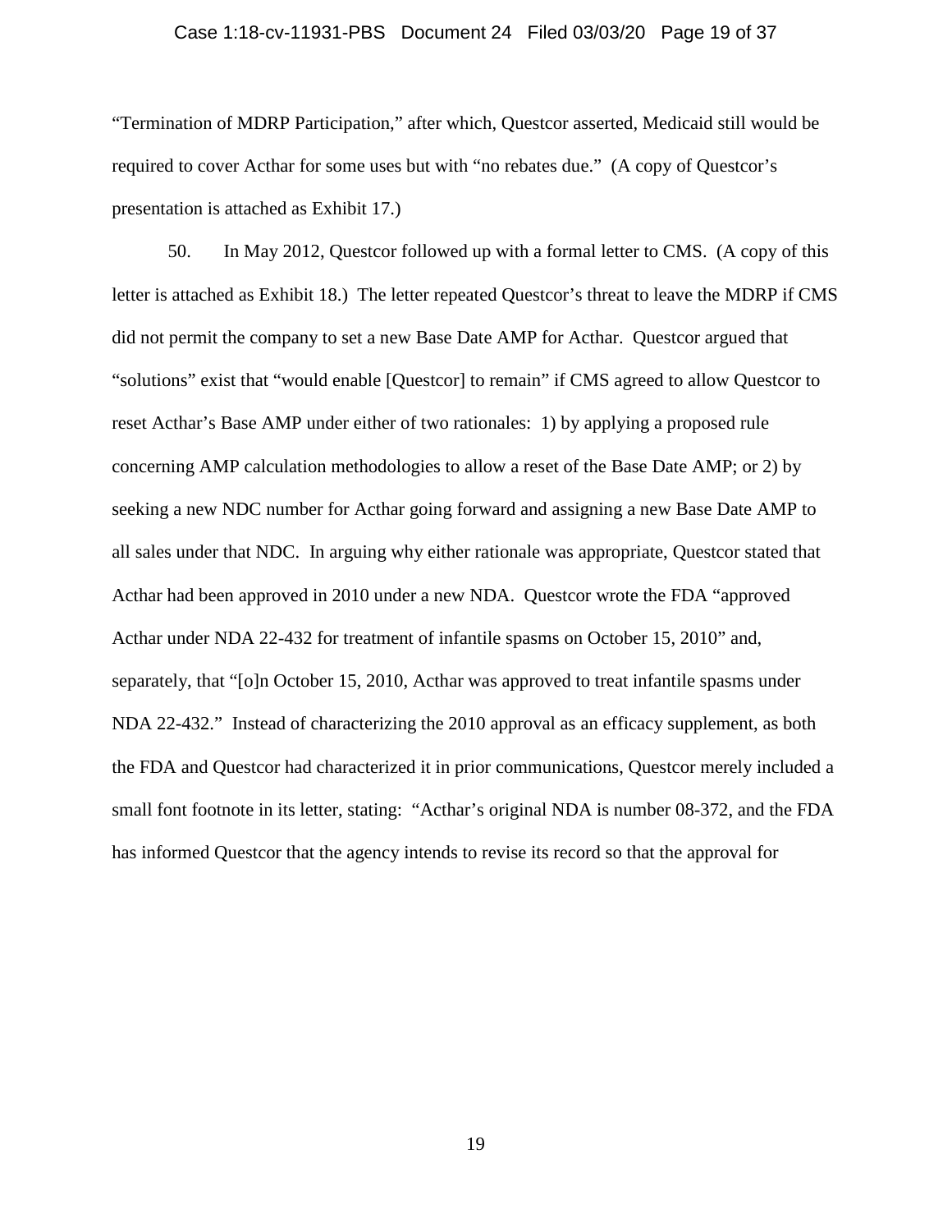#### Case 1:18-cv-11931-PBS Document 24 Filed 03/03/20 Page 19 of 37

"Termination of MDRP Participation," after which, Questcor asserted, Medicaid still would be required to cover Acthar for some uses but with "no rebates due." (A copy of Questcor's presentation is attached as Exhibit 17.)

50. In May 2012, Questcor followed up with a formal letter to CMS. (A copy of this letter is attached as Exhibit 18.) The letter repeated Questcor's threat to leave the MDRP if CMS did not permit the company to set a new Base Date AMP for Acthar. Questcor argued that "solutions" exist that "would enable [Questcor] to remain" if CMS agreed to allow Questcor to reset Acthar's Base AMP under either of two rationales: 1) by applying a proposed rule concerning AMP calculation methodologies to allow a reset of the Base Date AMP; or 2) by seeking a new NDC number for Acthar going forward and assigning a new Base Date AMP to all sales under that NDC. In arguing why either rationale was appropriate, Questcor stated that Acthar had been approved in 2010 under a new NDA. Questcor wrote the FDA "approved Acthar under NDA 22-432 for treatment of infantile spasms on October 15, 2010" and, separately, that "[o]n October 15, 2010, Acthar was approved to treat infantile spasms under NDA 22-432." Instead of characterizing the 2010 approval as an efficacy supplement, as both the FDA and Questcor had characterized it in prior communications, Questcor merely included a small font footnote in its letter, stating: "Acthar's original NDA is number 08-372, and the FDA has informed Questcor that the agency intends to revise its record so that the approval for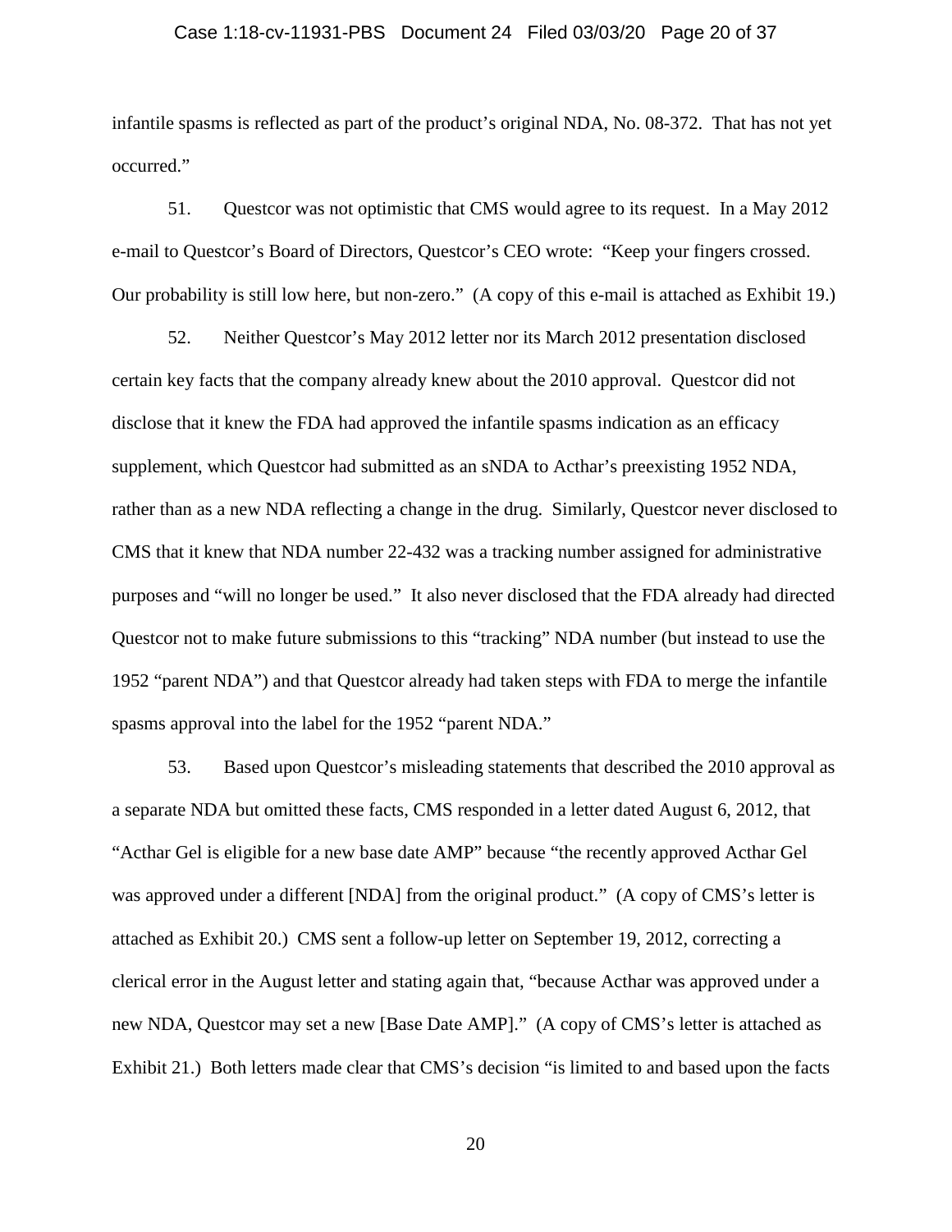#### Case 1:18-cv-11931-PBS Document 24 Filed 03/03/20 Page 20 of 37

infantile spasms is reflected as part of the product's original NDA, No. 08-372. That has not yet occurred."

51. Questcor was not optimistic that CMS would agree to its request. In a May 2012 e-mail to Questcor's Board of Directors, Questcor's CEO wrote: "Keep your fingers crossed. Our probability is still low here, but non-zero." (A copy of this e-mail is attached as Exhibit 19.)

52. Neither Questcor's May 2012 letter nor its March 2012 presentation disclosed certain key facts that the company already knew about the 2010 approval. Questcor did not disclose that it knew the FDA had approved the infantile spasms indication as an efficacy supplement, which Questcor had submitted as an sNDA to Acthar's preexisting 1952 NDA, rather than as a new NDA reflecting a change in the drug. Similarly, Questcor never disclosed to CMS that it knew that NDA number 22-432 was a tracking number assigned for administrative purposes and "will no longer be used." It also never disclosed that the FDA already had directed Questcor not to make future submissions to this "tracking" NDA number (but instead to use the 1952 "parent NDA") and that Questcor already had taken steps with FDA to merge the infantile spasms approval into the label for the 1952 "parent NDA."

53. Based upon Questcor's misleading statements that described the 2010 approval as a separate NDA but omitted these facts, CMS responded in a letter dated August 6, 2012, that "Acthar Gel is eligible for a new base date AMP" because "the recently approved Acthar Gel was approved under a different [NDA] from the original product." (A copy of CMS's letter is attached as Exhibit 20.) CMS sent a follow-up letter on September 19, 2012, correcting a clerical error in the August letter and stating again that, "because Acthar was approved under a new NDA, Questcor may set a new [Base Date AMP]." (A copy of CMS's letter is attached as Exhibit 21.) Both letters made clear that CMS's decision "is limited to and based upon the facts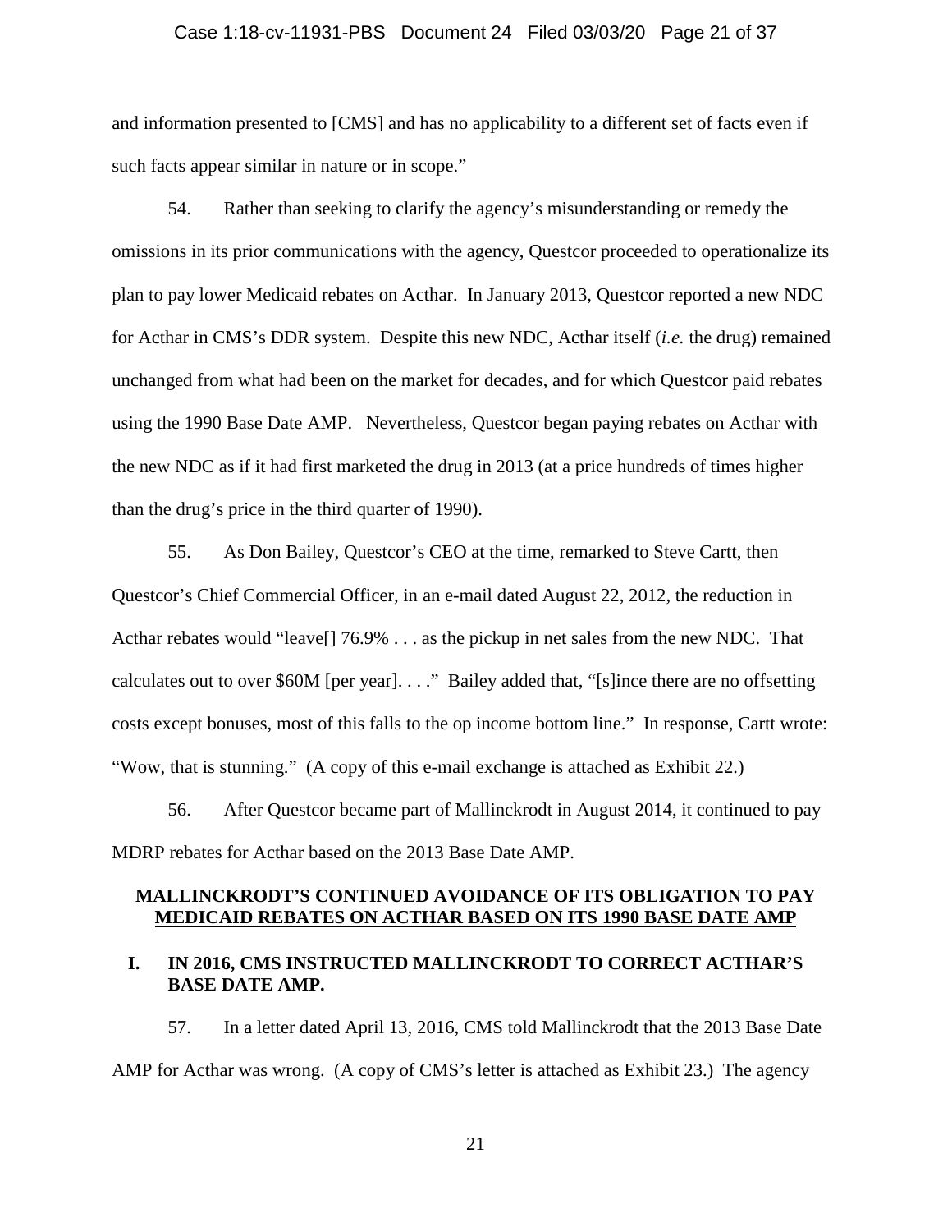#### Case 1:18-cv-11931-PBS Document 24 Filed 03/03/20 Page 21 of 37

and information presented to [CMS] and has no applicability to a different set of facts even if such facts appear similar in nature or in scope."

54. Rather than seeking to clarify the agency's misunderstanding or remedy the omissions in its prior communications with the agency, Questcor proceeded to operationalize its plan to pay lower Medicaid rebates on Acthar. In January 2013, Questcor reported a new NDC for Acthar in CMS's DDR system. Despite this new NDC, Acthar itself (*i.e.* the drug) remained unchanged from what had been on the market for decades, and for which Questcor paid rebates using the 1990 Base Date AMP. Nevertheless, Questcor began paying rebates on Acthar with the new NDC as if it had first marketed the drug in 2013 (at a price hundreds of times higher than the drug's price in the third quarter of 1990).

55. As Don Bailey, Questcor's CEO at the time, remarked to Steve Cartt, then Questcor's Chief Commercial Officer, in an e-mail dated August 22, 2012, the reduction in Acthar rebates would "leave[] 76.9% . . . as the pickup in net sales from the new NDC. That calculates out to over \$60M [per year]. . . ." Bailey added that, "[s]ince there are no offsetting costs except bonuses, most of this falls to the op income bottom line." In response, Cartt wrote: "Wow, that is stunning." (A copy of this e-mail exchange is attached as Exhibit 22.)

56. After Questcor became part of Mallinckrodt in August 2014, it continued to pay MDRP rebates for Acthar based on the 2013 Base Date AMP.

## **MALLINCKRODT'S CONTINUED AVOIDANCE OF ITS OBLIGATION TO PAY MEDICAID REBATES ON ACTHAR BASED ON ITS 1990 BASE DATE AMP**

## **I. IN 2016, CMS INSTRUCTED MALLINCKRODT TO CORRECT ACTHAR'S BASE DATE AMP.**

57. In a letter dated April 13, 2016, CMS told Mallinckrodt that the 2013 Base Date AMP for Acthar was wrong. (A copy of CMS's letter is attached as Exhibit 23.) The agency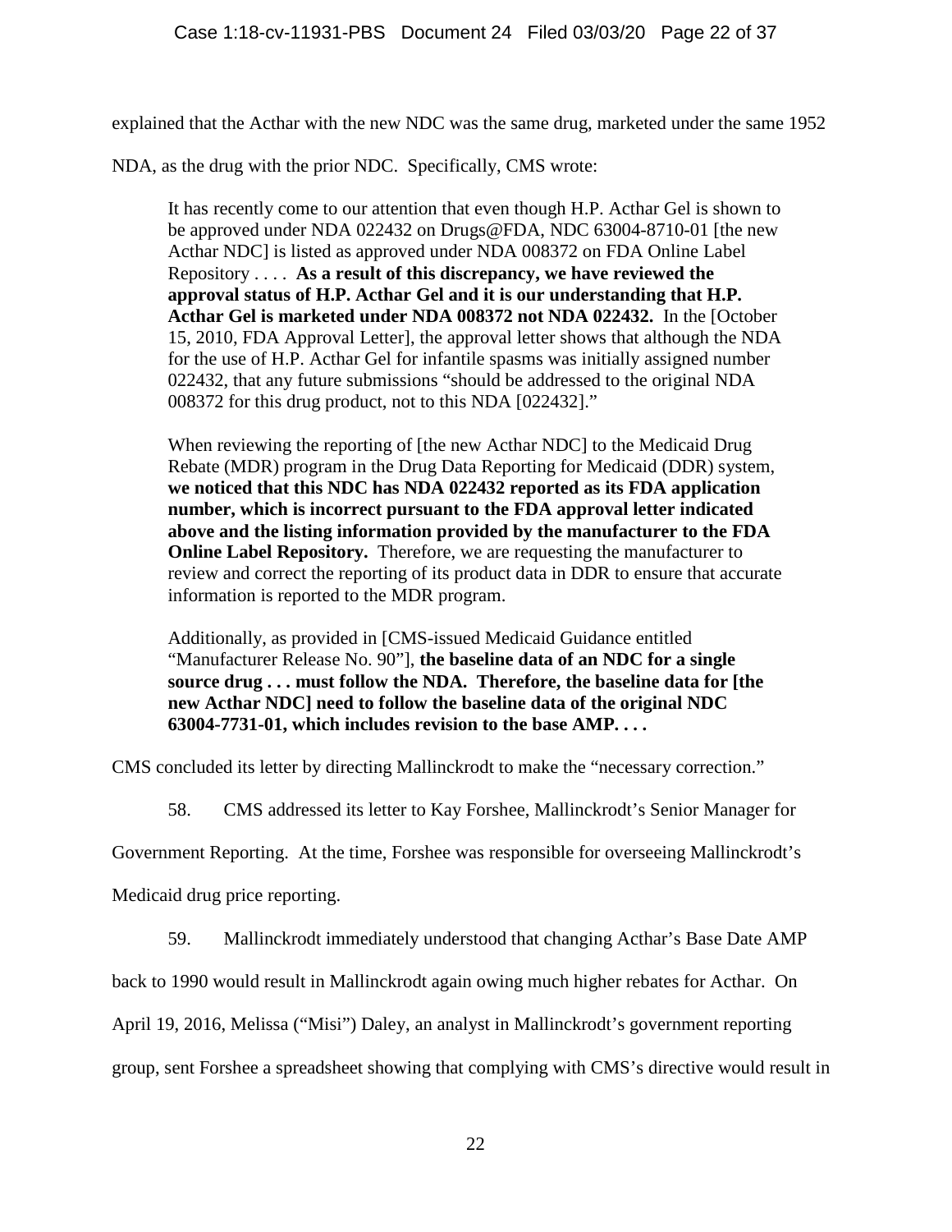explained that the Acthar with the new NDC was the same drug, marketed under the same 1952

NDA, as the drug with the prior NDC. Specifically, CMS wrote:

It has recently come to our attention that even though H.P. Acthar Gel is shown to be approved under NDA 022432 on Drugs@FDA, NDC 63004-8710-01 [the new Acthar NDC] is listed as approved under NDA 008372 on FDA Online Label Repository . . . . **As a result of this discrepancy, we have reviewed the approval status of H.P. Acthar Gel and it is our understanding that H.P. Acthar Gel is marketed under NDA 008372 not NDA 022432.** In the [October 15, 2010, FDA Approval Letter], the approval letter shows that although the NDA for the use of H.P. Acthar Gel for infantile spasms was initially assigned number 022432, that any future submissions "should be addressed to the original NDA 008372 for this drug product, not to this NDA [022432]."

When reviewing the reporting of [the new Acthar NDC] to the Medicaid Drug Rebate (MDR) program in the Drug Data Reporting for Medicaid (DDR) system, **we noticed that this NDC has NDA 022432 reported as its FDA application number, which is incorrect pursuant to the FDA approval letter indicated above and the listing information provided by the manufacturer to the FDA Online Label Repository.** Therefore, we are requesting the manufacturer to review and correct the reporting of its product data in DDR to ensure that accurate information is reported to the MDR program.

Additionally, as provided in [CMS-issued Medicaid Guidance entitled "Manufacturer Release No. 90"], **the baseline data of an NDC for a single source drug . . . must follow the NDA. Therefore, the baseline data for [the new Acthar NDC] need to follow the baseline data of the original NDC 63004-7731-01, which includes revision to the base AMP. . . .**

CMS concluded its letter by directing Mallinckrodt to make the "necessary correction."

58. CMS addressed its letter to Kay Forshee, Mallinckrodt's Senior Manager for

Government Reporting. At the time, Forshee was responsible for overseeing Mallinckrodt's

Medicaid drug price reporting.

59. Mallinckrodt immediately understood that changing Acthar's Base Date AMP

back to 1990 would result in Mallinckrodt again owing much higher rebates for Acthar. On

April 19, 2016, Melissa ("Misi") Daley, an analyst in Mallinckrodt's government reporting

group, sent Forshee a spreadsheet showing that complying with CMS's directive would result in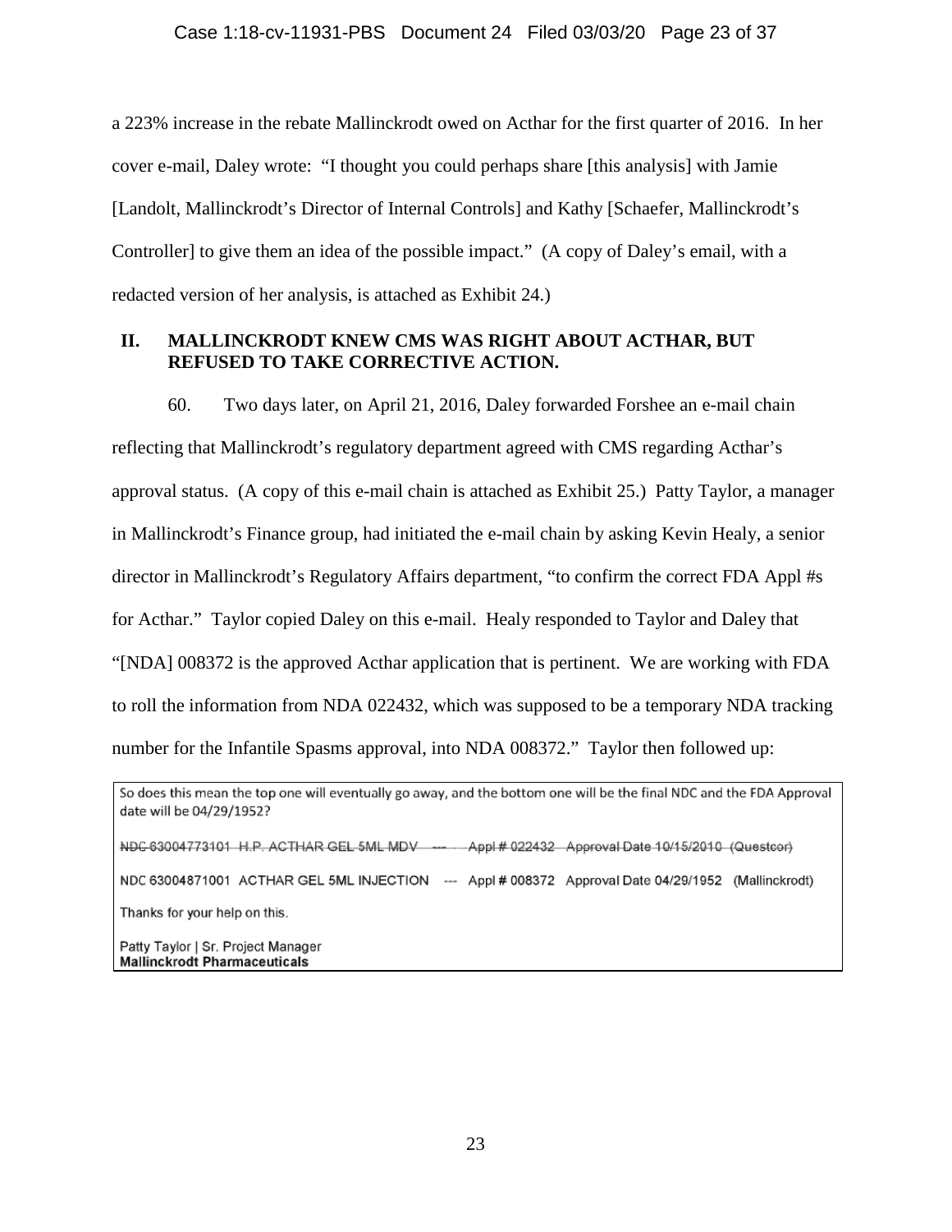a 223% increase in the rebate Mallinckrodt owed on Acthar for the first quarter of 2016. In her cover e-mail, Daley wrote: "I thought you could perhaps share [this analysis] with Jamie [Landolt, Mallinckrodt's Director of Internal Controls] and Kathy [Schaefer, Mallinckrodt's Controller] to give them an idea of the possible impact." (A copy of Daley's email, with a redacted version of her analysis, is attached as Exhibit 24.)

## **II. MALLINCKRODT KNEW CMS WAS RIGHT ABOUT ACTHAR, BUT REFUSED TO TAKE CORRECTIVE ACTION.**

60. Two days later, on April 21, 2016, Daley forwarded Forshee an e-mail chain reflecting that Mallinckrodt's regulatory department agreed with CMS regarding Acthar's approval status. (A copy of this e-mail chain is attached as Exhibit 25.) Patty Taylor, a manager in Mallinckrodt's Finance group, had initiated the e-mail chain by asking Kevin Healy, a senior director in Mallinckrodt's Regulatory Affairs department, "to confirm the correct FDA Appl #s for Acthar." Taylor copied Daley on this e-mail. Healy responded to Taylor and Daley that "[NDA] 008372 is the approved Acthar application that is pertinent. We are working with FDA to roll the information from NDA 022432, which was supposed to be a temporary NDA tracking number for the Infantile Spasms approval, into NDA 008372." Taylor then followed up:

Patty Taylor | Sr. Project Manager **Mallinckrodt Pharmaceuticals** 

So does this mean the top one will eventually go away, and the bottom one will be the final NDC and the FDA Approval date will be 04/29/1952?

NDC-63004773101 H.P. ACTHAR GEL-5ML MDV -- Appl # 022432 Approval Date 10/15/2010 (Questcor) NDC 63004871001 ACTHAR GEL 5ML INJECTION --- Appl # 008372 Approval Date 04/29/1952 (Mallinckrodt) Thanks for your help on this.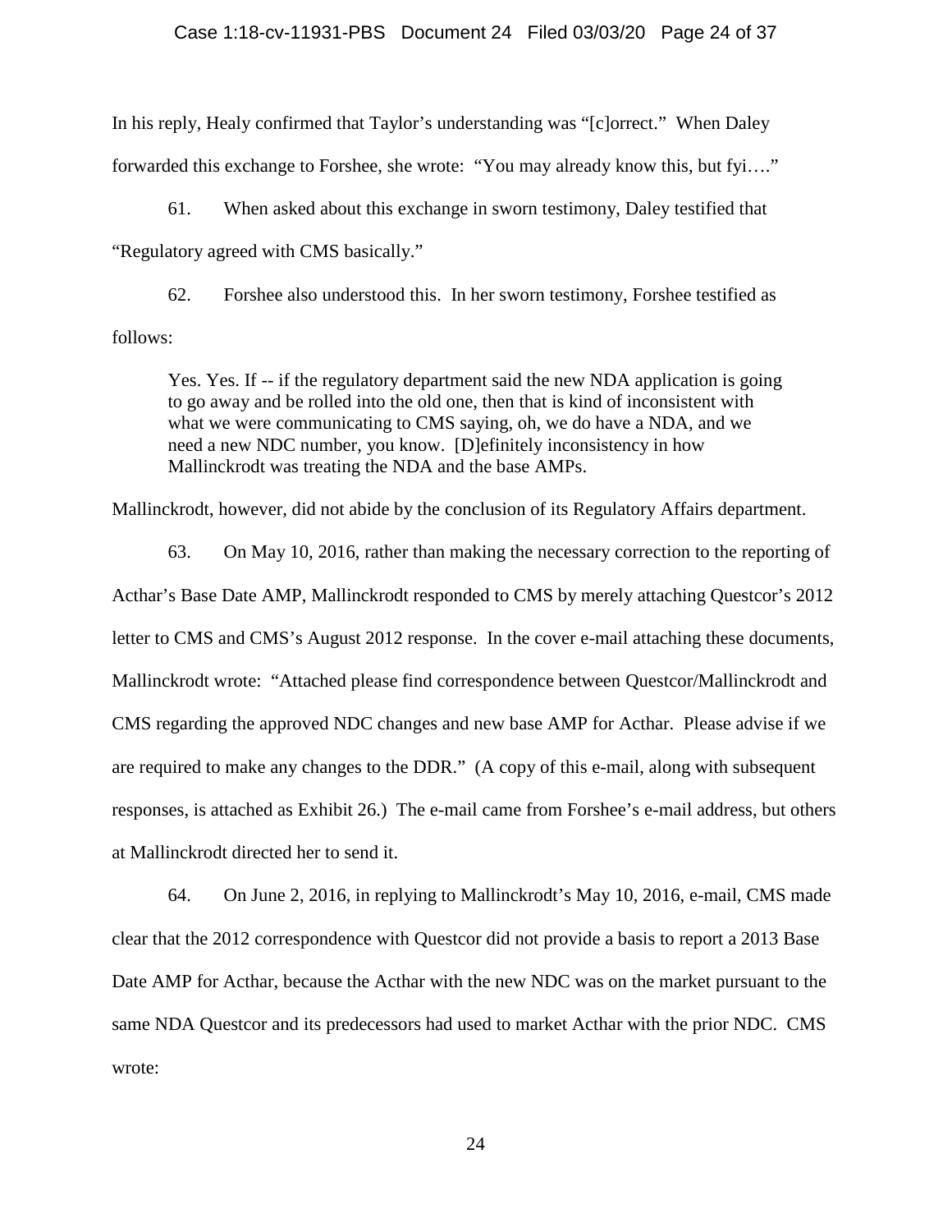## Case 1:18-cv-11931-PBS Document 24 Filed 03/03/20 Page 24 of 37

In his reply, Healy confirmed that Taylor's understanding was "[c]orrect." When Daley forwarded this exchange to Forshee, she wrote: "You may already know this, but fyi…."

61. When asked about this exchange in sworn testimony, Daley testified that "Regulatory agreed with CMS basically."

62. Forshee also understood this. In her sworn testimony, Forshee testified as follows:

Yes. Yes. If -- if the regulatory department said the new NDA application is going to go away and be rolled into the old one, then that is kind of inconsistent with what we were communicating to CMS saying, oh, we do have a NDA, and we need a new NDC number, you know. [D]efinitely inconsistency in how Mallinckrodt was treating the NDA and the base AMPs.

Mallinckrodt, however, did not abide by the conclusion of its Regulatory Affairs department.

63. On May 10, 2016, rather than making the necessary correction to the reporting of Acthar's Base Date AMP, Mallinckrodt responded to CMS by merely attaching Questcor's 2012 letter to CMS and CMS's August 2012 response. In the cover e-mail attaching these documents, Mallinckrodt wrote: "Attached please find correspondence between Questcor/Mallinckrodt and CMS regarding the approved NDC changes and new base AMP for Acthar. Please advise if we are required to make any changes to the DDR." (A copy of this e-mail, along with subsequent responses, is attached as Exhibit 26.) The e-mail came from Forshee's e-mail address, but others at Mallinckrodt directed her to send it.

64. On June 2, 2016, in replying to Mallinckrodt's May 10, 2016, e-mail, CMS made clear that the 2012 correspondence with Questcor did not provide a basis to report a 2013 Base Date AMP for Acthar, because the Acthar with the new NDC was on the market pursuant to the same NDA Questcor and its predecessors had used to market Acthar with the prior NDC. CMS wrote: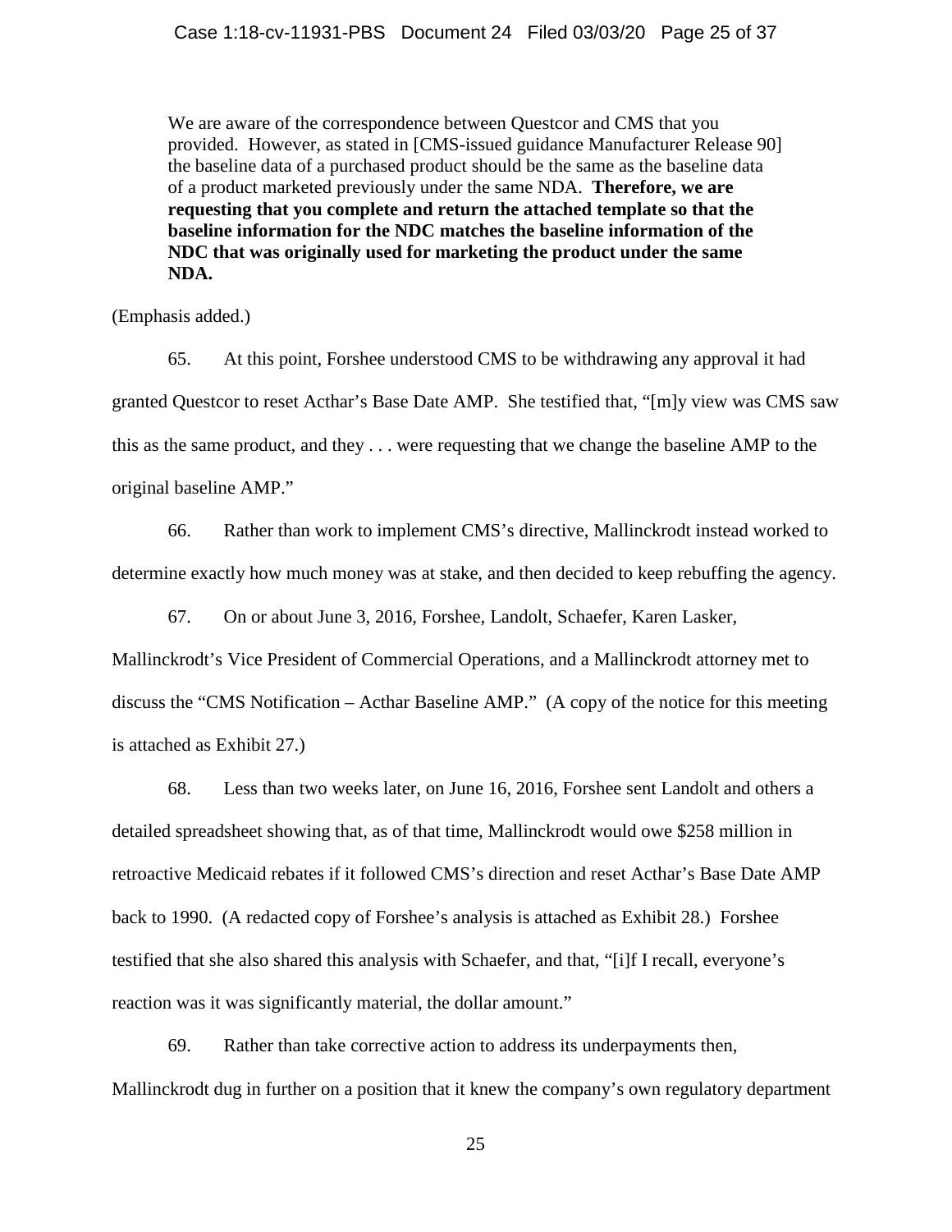We are aware of the correspondence between Questcor and CMS that you provided. However, as stated in [CMS-issued guidance Manufacturer Release 90] the baseline data of a purchased product should be the same as the baseline data of a product marketed previously under the same NDA. **Therefore, we are requesting that you complete and return the attached template so that the baseline information for the NDC matches the baseline information of the NDC that was originally used for marketing the product under the same NDA.**

(Emphasis added.)

65. At this point, Forshee understood CMS to be withdrawing any approval it had granted Questcor to reset Acthar's Base Date AMP. She testified that, "[m]y view was CMS saw this as the same product, and they . . . were requesting that we change the baseline AMP to the original baseline AMP."

66. Rather than work to implement CMS's directive, Mallinckrodt instead worked to determine exactly how much money was at stake, and then decided to keep rebuffing the agency.

67. On or about June 3, 2016, Forshee, Landolt, Schaefer, Karen Lasker,

Mallinckrodt's Vice President of Commercial Operations, and a Mallinckrodt attorney met to discuss the "CMS Notification – Acthar Baseline AMP." (A copy of the notice for this meeting is attached as Exhibit 27.)

68. Less than two weeks later, on June 16, 2016, Forshee sent Landolt and others a detailed spreadsheet showing that, as of that time, Mallinckrodt would owe \$258 million in retroactive Medicaid rebates if it followed CMS's direction and reset Acthar's Base Date AMP back to 1990. (A redacted copy of Forshee's analysis is attached as Exhibit 28.) Forshee testified that she also shared this analysis with Schaefer, and that, "[i]f I recall, everyone's reaction was it was significantly material, the dollar amount."

69. Rather than take corrective action to address its underpayments then, Mallinckrodt dug in further on a position that it knew the company's own regulatory department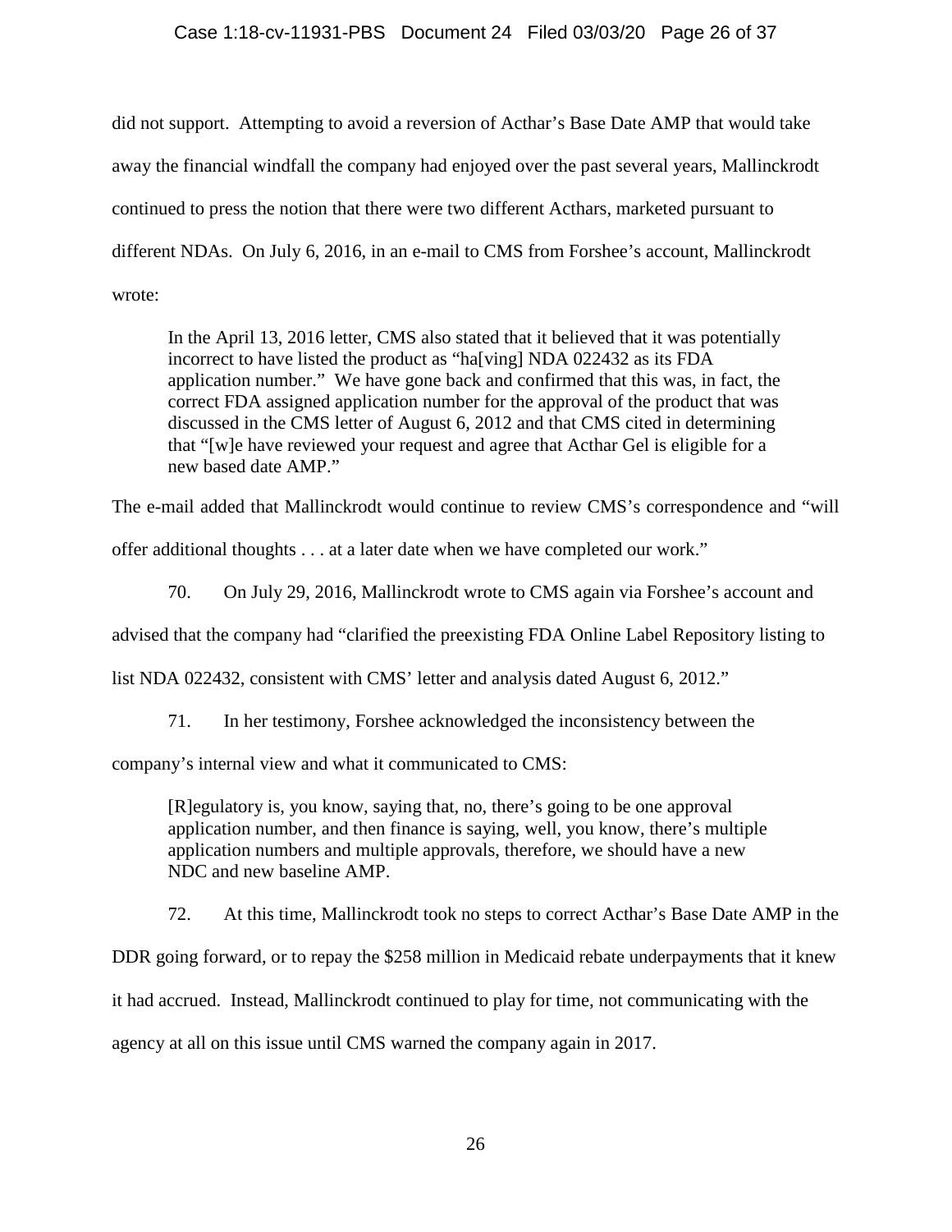## Case 1:18-cv-11931-PBS Document 24 Filed 03/03/20 Page 26 of 37

did not support. Attempting to avoid a reversion of Acthar's Base Date AMP that would take away the financial windfall the company had enjoyed over the past several years, Mallinckrodt continued to press the notion that there were two different Acthars, marketed pursuant to different NDAs. On July 6, 2016, in an e-mail to CMS from Forshee's account, Mallinckrodt wrote:

In the April 13, 2016 letter, CMS also stated that it believed that it was potentially incorrect to have listed the product as "ha[ving] NDA 022432 as its FDA application number." We have gone back and confirmed that this was, in fact, the correct FDA assigned application number for the approval of the product that was discussed in the CMS letter of August 6, 2012 and that CMS cited in determining that "[w]e have reviewed your request and agree that Acthar Gel is eligible for a new based date AMP."

The e-mail added that Mallinckrodt would continue to review CMS's correspondence and "will

offer additional thoughts . . . at a later date when we have completed our work."

70. On July 29, 2016, Mallinckrodt wrote to CMS again via Forshee's account and

advised that the company had "clarified the preexisting FDA Online Label Repository listing to

list NDA 022432, consistent with CMS' letter and analysis dated August 6, 2012."

71. In her testimony, Forshee acknowledged the inconsistency between the

company's internal view and what it communicated to CMS:

[R]egulatory is, you know, saying that, no, there's going to be one approval application number, and then finance is saying, well, you know, there's multiple application numbers and multiple approvals, therefore, we should have a new NDC and new baseline AMP.

72. At this time, Mallinckrodt took no steps to correct Acthar's Base Date AMP in the

DDR going forward, or to repay the \$258 million in Medicaid rebate underpayments that it knew

it had accrued. Instead, Mallinckrodt continued to play for time, not communicating with the

agency at all on this issue until CMS warned the company again in 2017.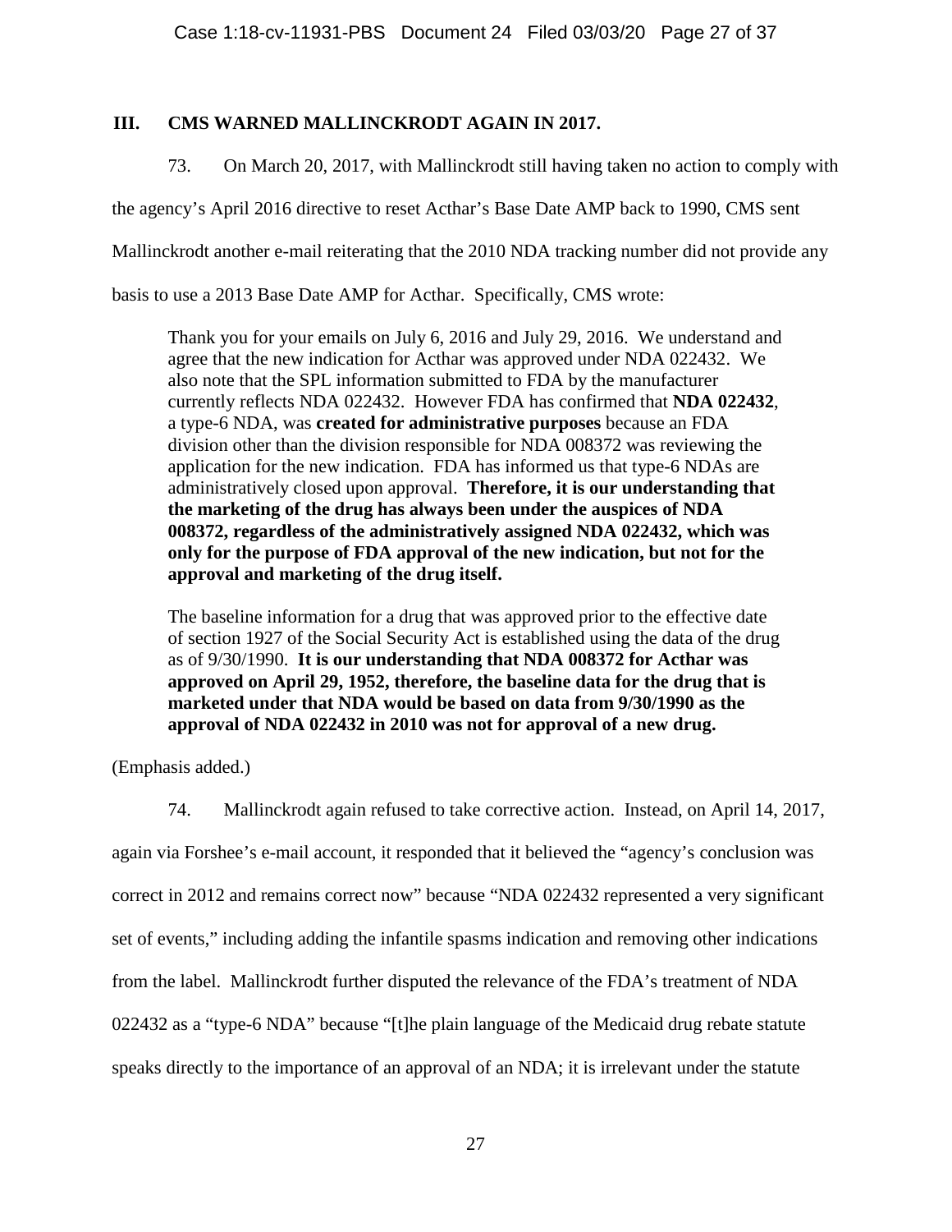# **III. CMS WARNED MALLINCKRODT AGAIN IN 2017.**

73. On March 20, 2017, with Mallinckrodt still having taken no action to comply with

the agency's April 2016 directive to reset Acthar's Base Date AMP back to 1990, CMS sent

Mallinckrodt another e-mail reiterating that the 2010 NDA tracking number did not provide any

basis to use a 2013 Base Date AMP for Acthar. Specifically, CMS wrote:

Thank you for your emails on July 6, 2016 and July 29, 2016. We understand and agree that the new indication for Acthar was approved under NDA 022432. We also note that the SPL information submitted to FDA by the manufacturer currently reflects NDA 022432. However FDA has confirmed that **NDA 022432**, a type-6 NDA, was **created for administrative purposes** because an FDA division other than the division responsible for NDA 008372 was reviewing the application for the new indication. FDA has informed us that type-6 NDAs are administratively closed upon approval. **Therefore, it is our understanding that the marketing of the drug has always been under the auspices of NDA 008372, regardless of the administratively assigned NDA 022432, which was only for the purpose of FDA approval of the new indication, but not for the approval and marketing of the drug itself.**

The baseline information for a drug that was approved prior to the effective date of section 1927 of the Social Security Act is established using the data of the drug as of 9/30/1990. **It is our understanding that NDA 008372 for Acthar was approved on April 29, 1952, therefore, the baseline data for the drug that is marketed under that NDA would be based on data from 9/30/1990 as the approval of NDA 022432 in 2010 was not for approval of a new drug.**

(Emphasis added.)

74. Mallinckrodt again refused to take corrective action. Instead, on April 14, 2017,

again via Forshee's e-mail account, it responded that it believed the "agency's conclusion was correct in 2012 and remains correct now" because "NDA 022432 represented a very significant set of events," including adding the infantile spasms indication and removing other indications from the label. Mallinckrodt further disputed the relevance of the FDA's treatment of NDA 022432 as a "type-6 NDA" because "[t]he plain language of the Medicaid drug rebate statute speaks directly to the importance of an approval of an NDA; it is irrelevant under the statute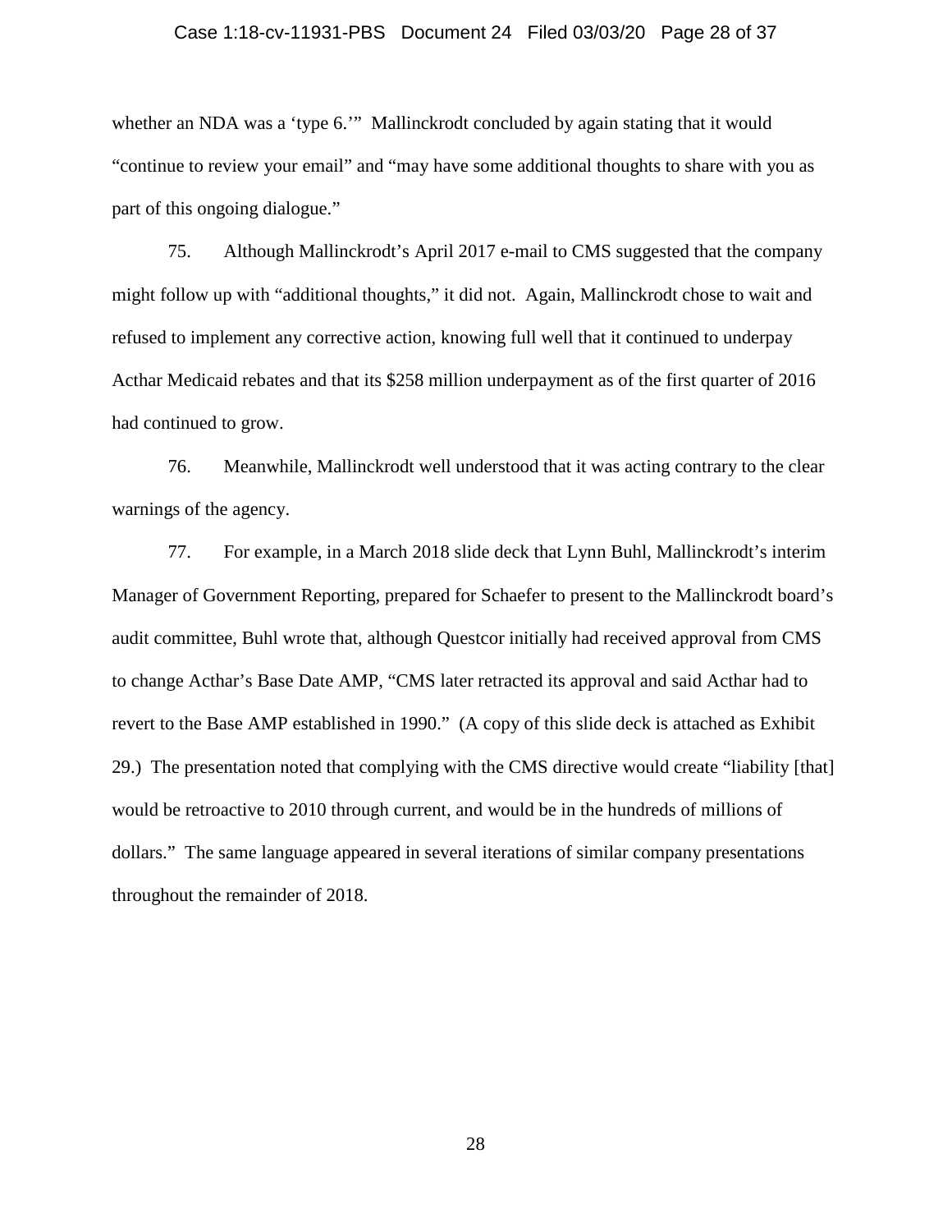## Case 1:18-cv-11931-PBS Document 24 Filed 03/03/20 Page 28 of 37

whether an NDA was a 'type 6." Mallinckrodt concluded by again stating that it would "continue to review your email" and "may have some additional thoughts to share with you as part of this ongoing dialogue."

75. Although Mallinckrodt's April 2017 e-mail to CMS suggested that the company might follow up with "additional thoughts," it did not. Again, Mallinckrodt chose to wait and refused to implement any corrective action, knowing full well that it continued to underpay Acthar Medicaid rebates and that its \$258 million underpayment as of the first quarter of 2016 had continued to grow.

76. Meanwhile, Mallinckrodt well understood that it was acting contrary to the clear warnings of the agency.

77. For example, in a March 2018 slide deck that Lynn Buhl, Mallinckrodt's interim Manager of Government Reporting, prepared for Schaefer to present to the Mallinckrodt board's audit committee, Buhl wrote that, although Questcor initially had received approval from CMS to change Acthar's Base Date AMP, "CMS later retracted its approval and said Acthar had to revert to the Base AMP established in 1990." (A copy of this slide deck is attached as Exhibit 29.) The presentation noted that complying with the CMS directive would create "liability [that] would be retroactive to 2010 through current, and would be in the hundreds of millions of dollars." The same language appeared in several iterations of similar company presentations throughout the remainder of 2018.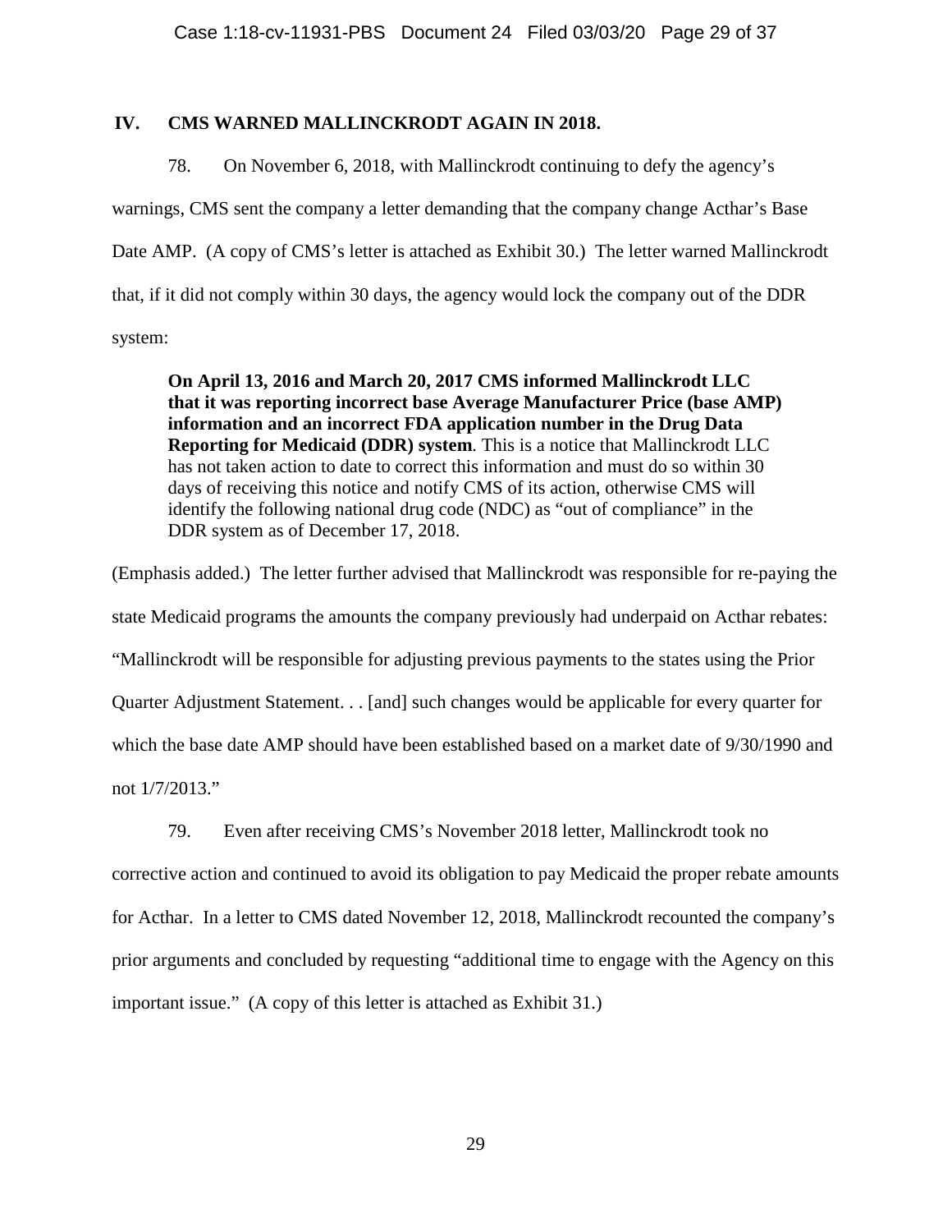## **IV. CMS WARNED MALLINCKRODT AGAIN IN 2018.**

78. On November 6, 2018, with Mallinckrodt continuing to defy the agency's warnings, CMS sent the company a letter demanding that the company change Acthar's Base Date AMP. (A copy of CMS's letter is attached as Exhibit 30.) The letter warned Mallinckrodt that, if it did not comply within 30 days, the agency would lock the company out of the DDR system:

**On April 13, 2016 and March 20, 2017 CMS informed Mallinckrodt LLC that it was reporting incorrect base Average Manufacturer Price (base AMP) information and an incorrect FDA application number in the Drug Data Reporting for Medicaid (DDR) system**. This is a notice that Mallinckrodt LLC has not taken action to date to correct this information and must do so within 30 days of receiving this notice and notify CMS of its action, otherwise CMS will identify the following national drug code (NDC) as "out of compliance" in the DDR system as of December 17, 2018.

(Emphasis added.) The letter further advised that Mallinckrodt was responsible for re-paying the state Medicaid programs the amounts the company previously had underpaid on Acthar rebates: "Mallinckrodt will be responsible for adjusting previous payments to the states using the Prior Quarter Adjustment Statement. . . [and] such changes would be applicable for every quarter for which the base date AMP should have been established based on a market date of 9/30/1990 and not 1/7/2013."

79. Even after receiving CMS's November 2018 letter, Mallinckrodt took no

corrective action and continued to avoid its obligation to pay Medicaid the proper rebate amounts for Acthar. In a letter to CMS dated November 12, 2018, Mallinckrodt recounted the company's prior arguments and concluded by requesting "additional time to engage with the Agency on this important issue." (A copy of this letter is attached as Exhibit 31.)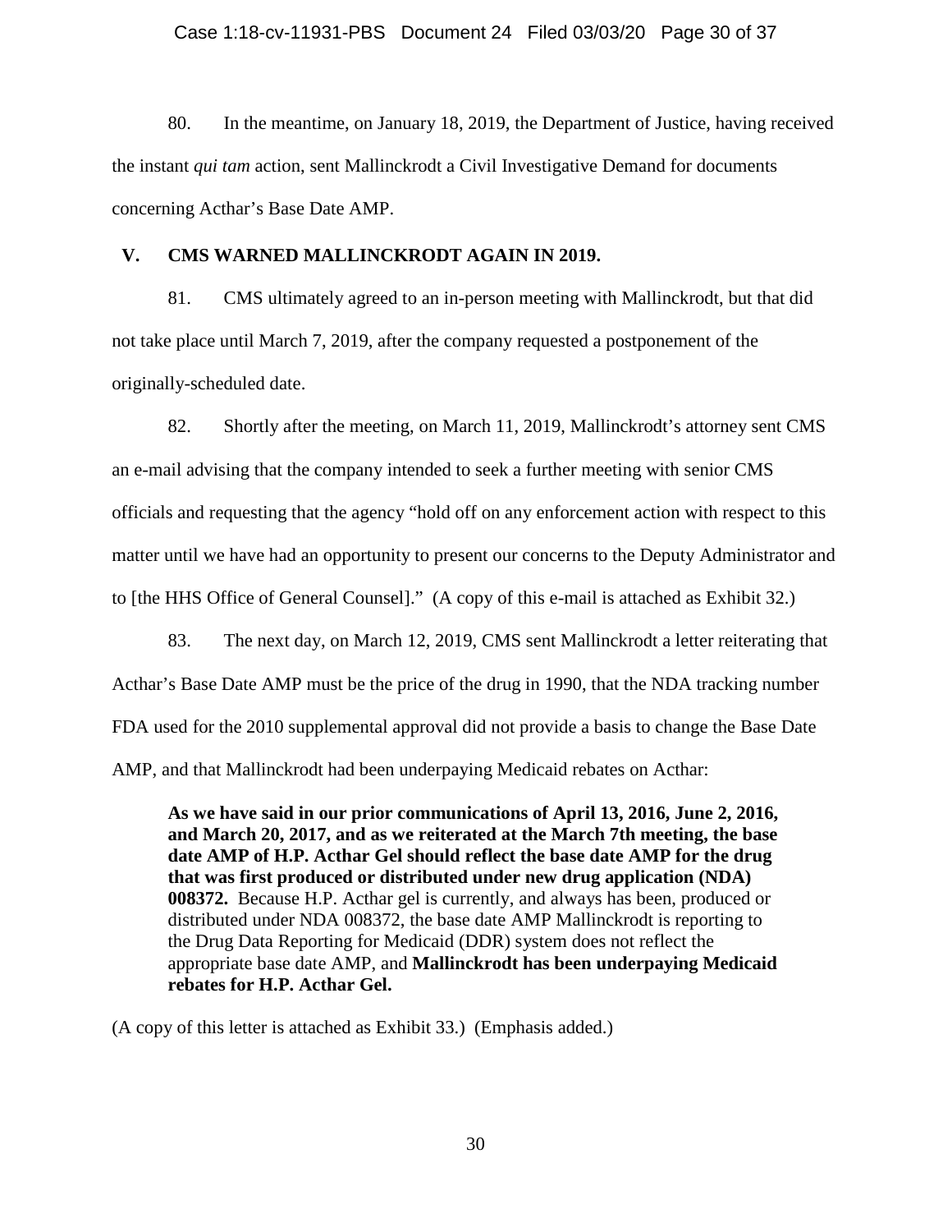### Case 1:18-cv-11931-PBS Document 24 Filed 03/03/20 Page 30 of 37

80. In the meantime, on January 18, 2019, the Department of Justice, having received the instant *qui tam* action, sent Mallinckrodt a Civil Investigative Demand for documents concerning Acthar's Base Date AMP.

## **V. CMS WARNED MALLINCKRODT AGAIN IN 2019.**

81. CMS ultimately agreed to an in-person meeting with Mallinckrodt, but that did not take place until March 7, 2019, after the company requested a postponement of the originally-scheduled date.

82. Shortly after the meeting, on March 11, 2019, Mallinckrodt's attorney sent CMS an e-mail advising that the company intended to seek a further meeting with senior CMS officials and requesting that the agency "hold off on any enforcement action with respect to this matter until we have had an opportunity to present our concerns to the Deputy Administrator and to [the HHS Office of General Counsel]." (A copy of this e-mail is attached as Exhibit 32.)

83. The next day, on March 12, 2019, CMS sent Mallinckrodt a letter reiterating that Acthar's Base Date AMP must be the price of the drug in 1990, that the NDA tracking number FDA used for the 2010 supplemental approval did not provide a basis to change the Base Date AMP, and that Mallinckrodt had been underpaying Medicaid rebates on Acthar:

**As we have said in our prior communications of April 13, 2016, June 2, 2016, and March 20, 2017, and as we reiterated at the March 7th meeting, the base date AMP of H.P. Acthar Gel should reflect the base date AMP for the drug that was first produced or distributed under new drug application (NDA) 008372.** Because H.P. Acthar gel is currently, and always has been, produced or distributed under NDA 008372, the base date AMP Mallinckrodt is reporting to the Drug Data Reporting for Medicaid (DDR) system does not reflect the appropriate base date AMP, and **Mallinckrodt has been underpaying Medicaid rebates for H.P. Acthar Gel.**

(A copy of this letter is attached as Exhibit 33.) (Emphasis added.)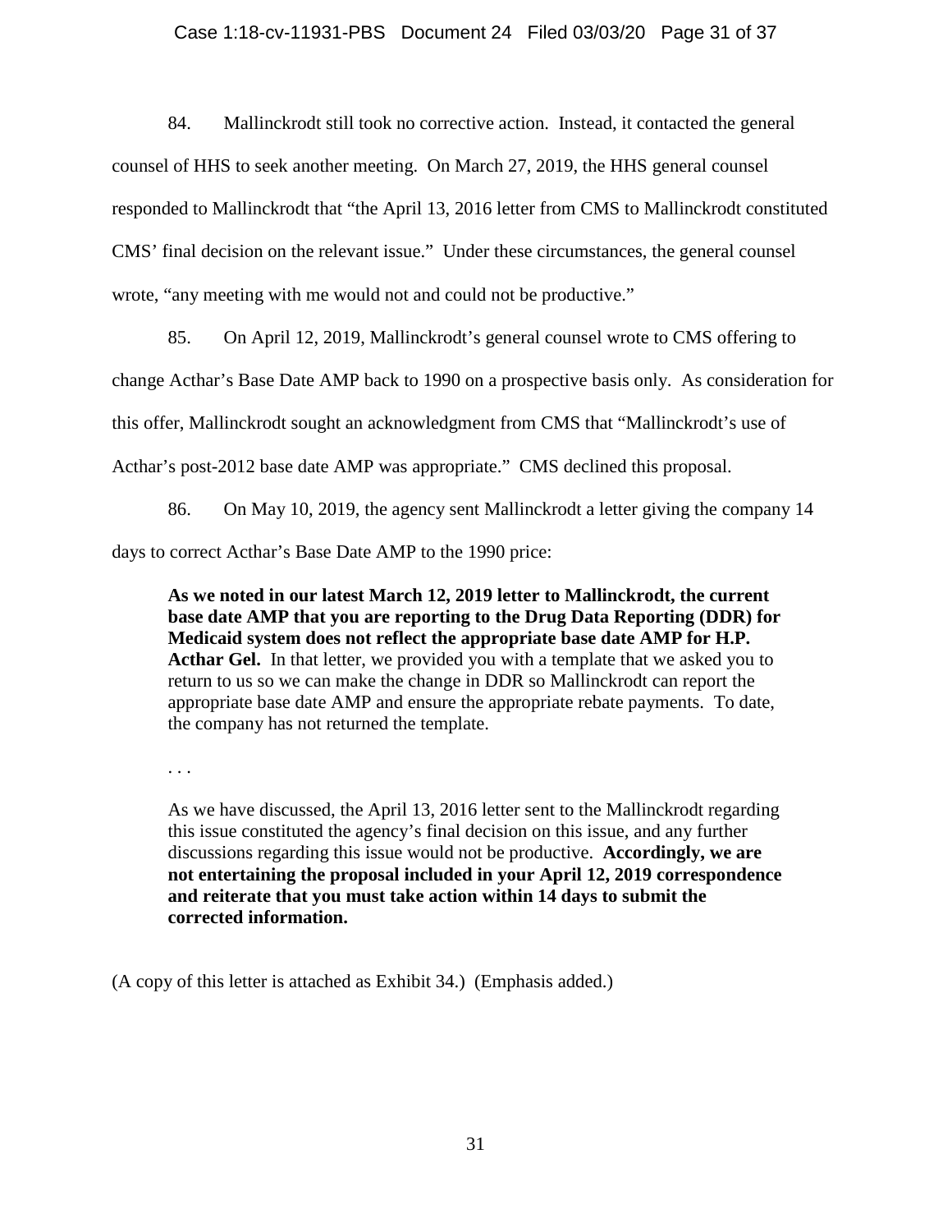## Case 1:18-cv-11931-PBS Document 24 Filed 03/03/20 Page 31 of 37

84. Mallinckrodt still took no corrective action. Instead, it contacted the general counsel of HHS to seek another meeting. On March 27, 2019, the HHS general counsel responded to Mallinckrodt that "the April 13, 2016 letter from CMS to Mallinckrodt constituted CMS' final decision on the relevant issue." Under these circumstances, the general counsel wrote, "any meeting with me would not and could not be productive."

85. On April 12, 2019, Mallinckrodt's general counsel wrote to CMS offering to

change Acthar's Base Date AMP back to 1990 on a prospective basis only. As consideration for

this offer, Mallinckrodt sought an acknowledgment from CMS that "Mallinckrodt's use of

Acthar's post-2012 base date AMP was appropriate." CMS declined this proposal.

86. On May 10, 2019, the agency sent Mallinckrodt a letter giving the company 14 days to correct Acthar's Base Date AMP to the 1990 price:

**As we noted in our latest March 12, 2019 letter to Mallinckrodt, the current base date AMP that you are reporting to the Drug Data Reporting (DDR) for Medicaid system does not reflect the appropriate base date AMP for H.P. Acthar Gel.** In that letter, we provided you with a template that we asked you to return to us so we can make the change in DDR so Mallinckrodt can report the appropriate base date AMP and ensure the appropriate rebate payments. To date, the company has not returned the template.

. . .

As we have discussed, the April 13, 2016 letter sent to the Mallinckrodt regarding this issue constituted the agency's final decision on this issue, and any further discussions regarding this issue would not be productive. **Accordingly, we are not entertaining the proposal included in your April 12, 2019 correspondence and reiterate that you must take action within 14 days to submit the corrected information.**

(A copy of this letter is attached as Exhibit 34.) (Emphasis added.)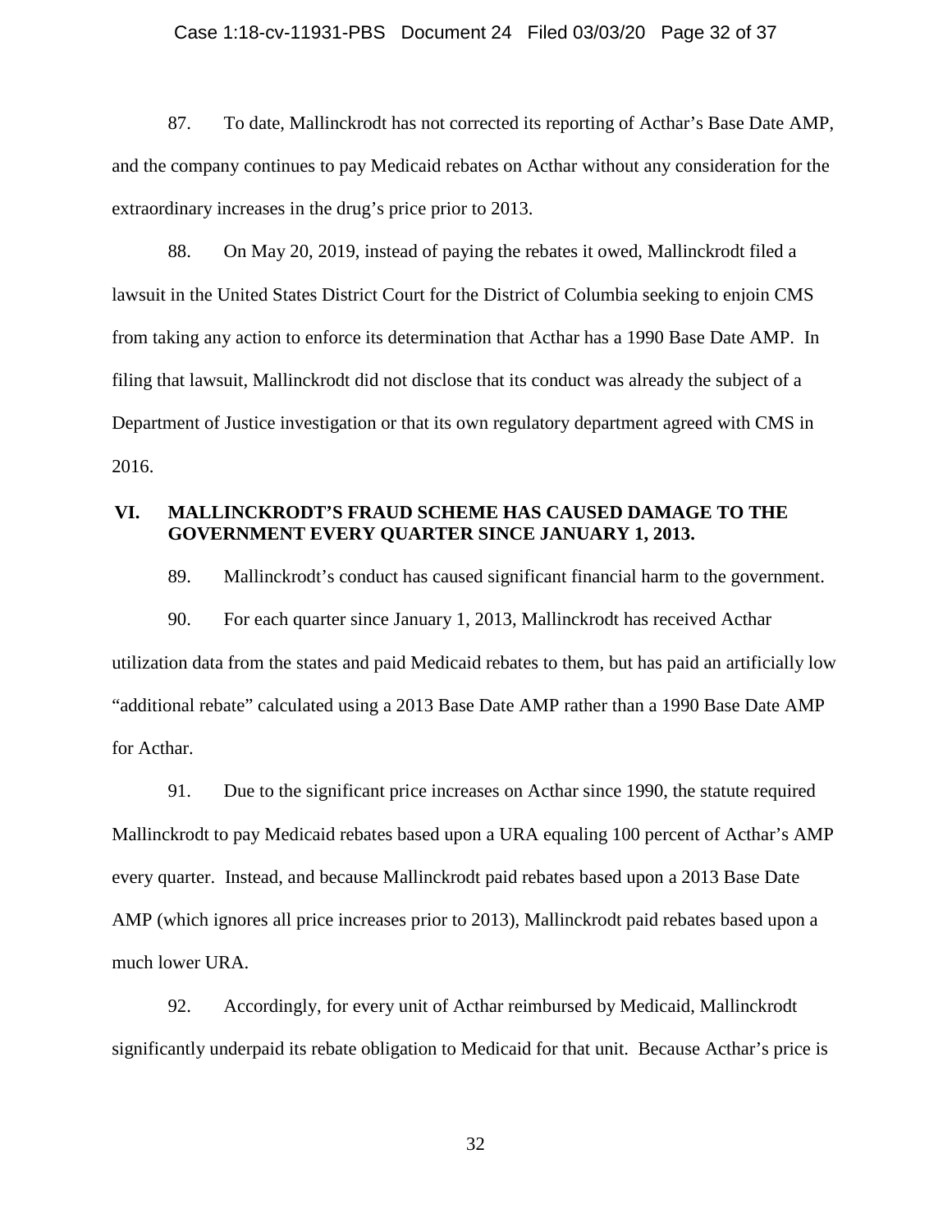#### Case 1:18-cv-11931-PBS Document 24 Filed 03/03/20 Page 32 of 37

87. To date, Mallinckrodt has not corrected its reporting of Acthar's Base Date AMP, and the company continues to pay Medicaid rebates on Acthar without any consideration for the extraordinary increases in the drug's price prior to 2013.

88. On May 20, 2019, instead of paying the rebates it owed, Mallinckrodt filed a lawsuit in the United States District Court for the District of Columbia seeking to enjoin CMS from taking any action to enforce its determination that Acthar has a 1990 Base Date AMP. In filing that lawsuit, Mallinckrodt did not disclose that its conduct was already the subject of a Department of Justice investigation or that its own regulatory department agreed with CMS in 2016.

## **VI. MALLINCKRODT'S FRAUD SCHEME HAS CAUSED DAMAGE TO THE GOVERNMENT EVERY QUARTER SINCE JANUARY 1, 2013.**

89. Mallinckrodt's conduct has caused significant financial harm to the government.

90. For each quarter since January 1, 2013, Mallinckrodt has received Acthar utilization data from the states and paid Medicaid rebates to them, but has paid an artificially low "additional rebate" calculated using a 2013 Base Date AMP rather than a 1990 Base Date AMP for Acthar.

91. Due to the significant price increases on Acthar since 1990, the statute required Mallinckrodt to pay Medicaid rebates based upon a URA equaling 100 percent of Acthar's AMP every quarter. Instead, and because Mallinckrodt paid rebates based upon a 2013 Base Date AMP (which ignores all price increases prior to 2013), Mallinckrodt paid rebates based upon a much lower URA.

92. Accordingly, for every unit of Acthar reimbursed by Medicaid, Mallinckrodt significantly underpaid its rebate obligation to Medicaid for that unit. Because Acthar's price is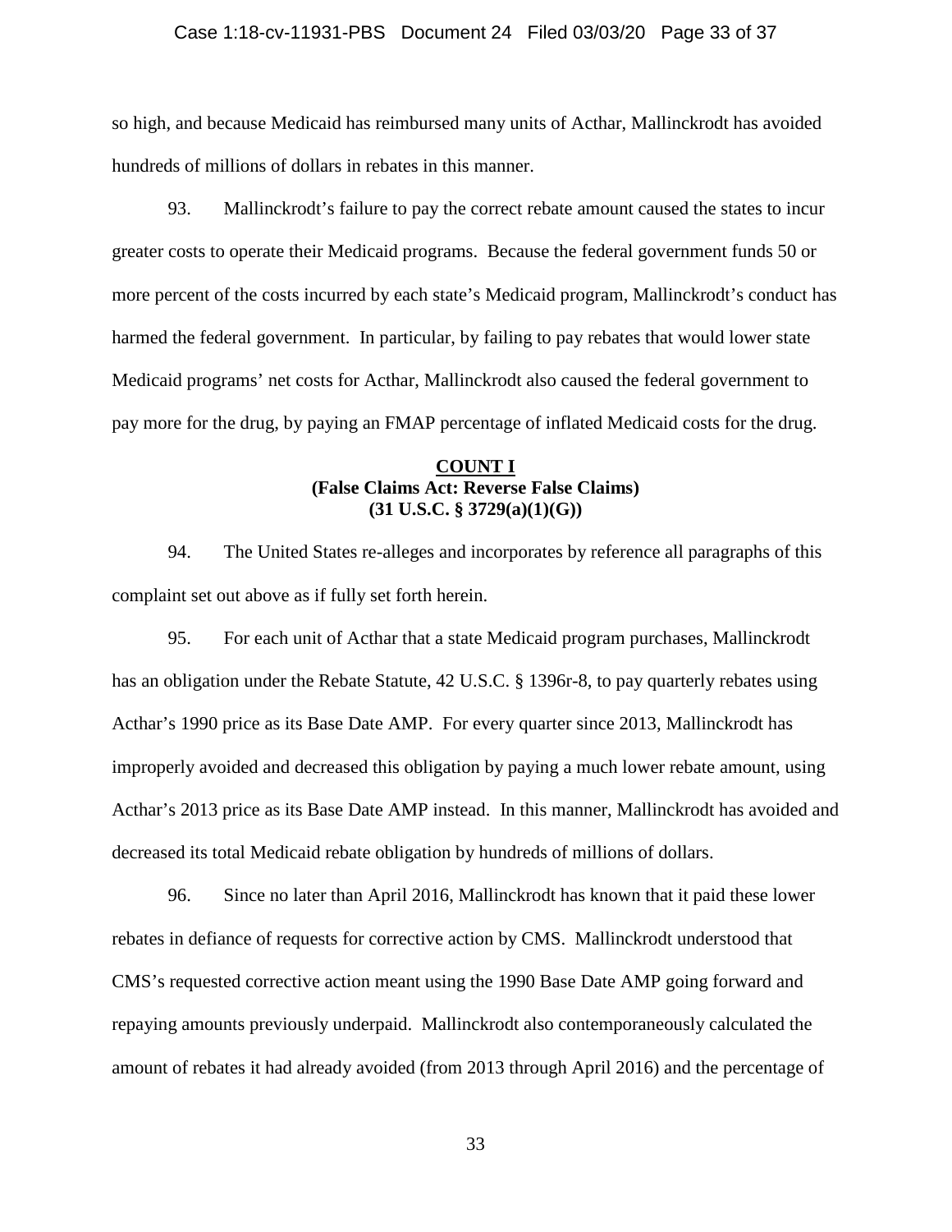#### Case 1:18-cv-11931-PBS Document 24 Filed 03/03/20 Page 33 of 37

so high, and because Medicaid has reimbursed many units of Acthar, Mallinckrodt has avoided hundreds of millions of dollars in rebates in this manner.

93. Mallinckrodt's failure to pay the correct rebate amount caused the states to incur greater costs to operate their Medicaid programs. Because the federal government funds 50 or more percent of the costs incurred by each state's Medicaid program, Mallinckrodt's conduct has harmed the federal government. In particular, by failing to pay rebates that would lower state Medicaid programs' net costs for Acthar, Mallinckrodt also caused the federal government to pay more for the drug, by paying an FMAP percentage of inflated Medicaid costs for the drug.

## **COUNT I (False Claims Act: Reverse False Claims) (31 U.S.C. § 3729(a)(1)(G))**

94. The United States re-alleges and incorporates by reference all paragraphs of this complaint set out above as if fully set forth herein.

95. For each unit of Acthar that a state Medicaid program purchases, Mallinckrodt has an obligation under the Rebate Statute, 42 U.S.C. § 1396r-8, to pay quarterly rebates using Acthar's 1990 price as its Base Date AMP. For every quarter since 2013, Mallinckrodt has improperly avoided and decreased this obligation by paying a much lower rebate amount, using Acthar's 2013 price as its Base Date AMP instead. In this manner, Mallinckrodt has avoided and decreased its total Medicaid rebate obligation by hundreds of millions of dollars.

96. Since no later than April 2016, Mallinckrodt has known that it paid these lower rebates in defiance of requests for corrective action by CMS. Mallinckrodt understood that CMS's requested corrective action meant using the 1990 Base Date AMP going forward and repaying amounts previously underpaid. Mallinckrodt also contemporaneously calculated the amount of rebates it had already avoided (from 2013 through April 2016) and the percentage of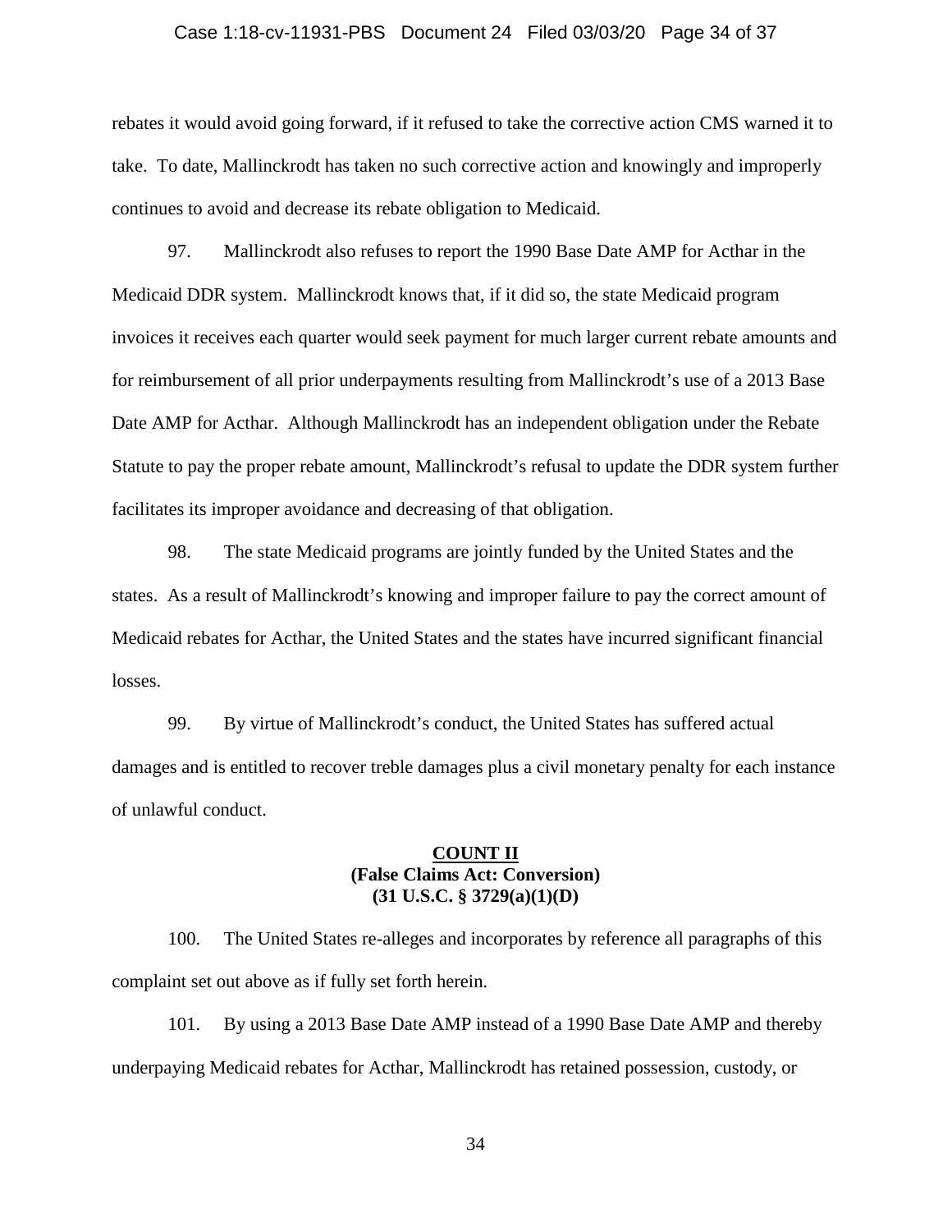## Case 1:18-cv-11931-PBS Document 24 Filed 03/03/20 Page 34 of 37

rebates it would avoid going forward, if it refused to take the corrective action CMS warned it to take. To date, Mallinckrodt has taken no such corrective action and knowingly and improperly continues to avoid and decrease its rebate obligation to Medicaid.

97. Mallinckrodt also refuses to report the 1990 Base Date AMP for Acthar in the Medicaid DDR system. Mallinckrodt knows that, if it did so, the state Medicaid program invoices it receives each quarter would seek payment for much larger current rebate amounts and for reimbursement of all prior underpayments resulting from Mallinckrodt's use of a 2013 Base Date AMP for Acthar. Although Mallinckrodt has an independent obligation under the Rebate Statute to pay the proper rebate amount, Mallinckrodt's refusal to update the DDR system further facilitates its improper avoidance and decreasing of that obligation.

98. The state Medicaid programs are jointly funded by the United States and the states. As a result of Mallinckrodt's knowing and improper failure to pay the correct amount of Medicaid rebates for Acthar, the United States and the states have incurred significant financial losses.

99. By virtue of Mallinckrodt's conduct, the United States has suffered actual damages and is entitled to recover treble damages plus a civil monetary penalty for each instance of unlawful conduct.

## **COUNT II (False Claims Act: Conversion) (31 U.S.C. § 3729(a)(1)(D)**

100. The United States re-alleges and incorporates by reference all paragraphs of this complaint set out above as if fully set forth herein.

101. By using a 2013 Base Date AMP instead of a 1990 Base Date AMP and thereby underpaying Medicaid rebates for Acthar, Mallinckrodt has retained possession, custody, or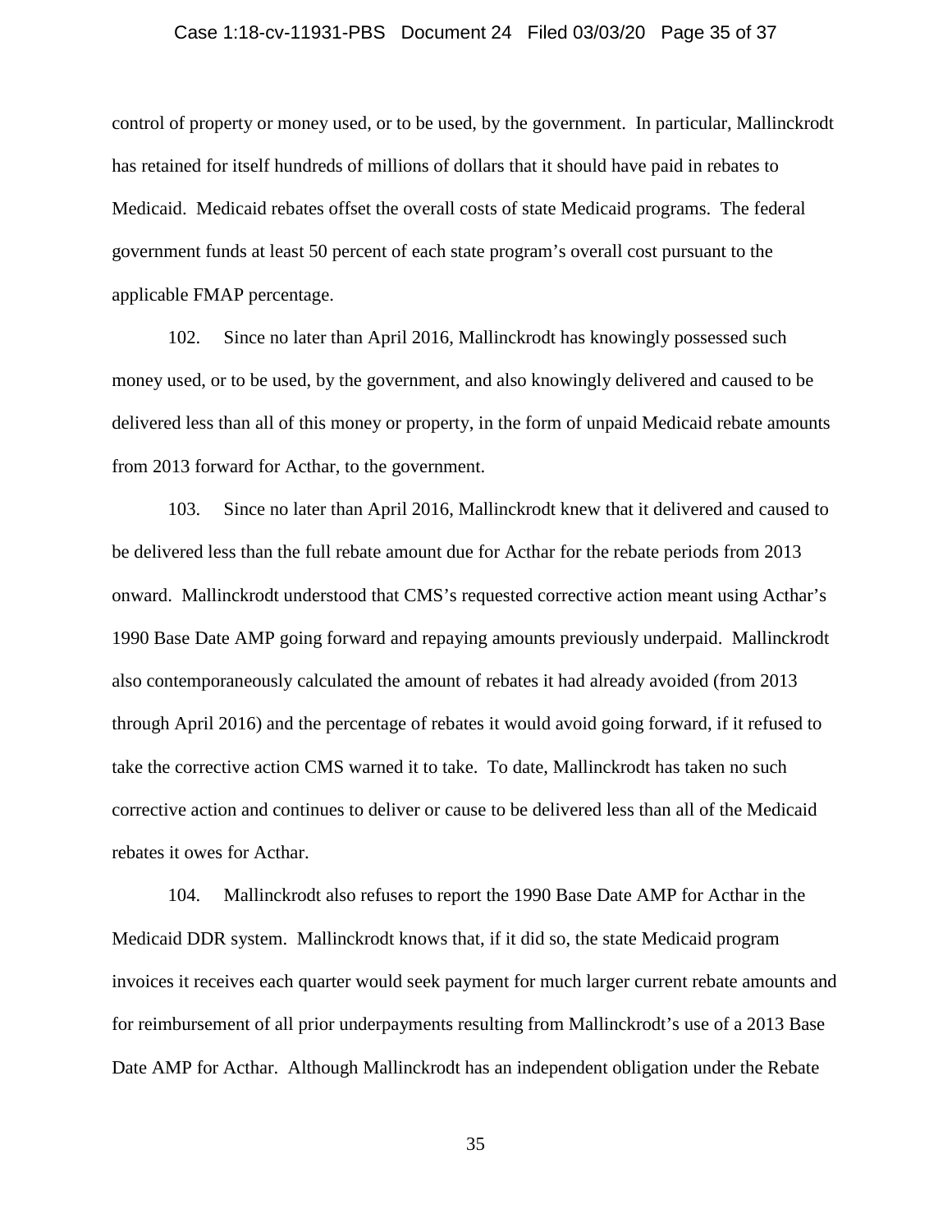#### Case 1:18-cv-11931-PBS Document 24 Filed 03/03/20 Page 35 of 37

control of property or money used, or to be used, by the government. In particular, Mallinckrodt has retained for itself hundreds of millions of dollars that it should have paid in rebates to Medicaid. Medicaid rebates offset the overall costs of state Medicaid programs. The federal government funds at least 50 percent of each state program's overall cost pursuant to the applicable FMAP percentage.

102. Since no later than April 2016, Mallinckrodt has knowingly possessed such money used, or to be used, by the government, and also knowingly delivered and caused to be delivered less than all of this money or property, in the form of unpaid Medicaid rebate amounts from 2013 forward for Acthar, to the government.

103. Since no later than April 2016, Mallinckrodt knew that it delivered and caused to be delivered less than the full rebate amount due for Acthar for the rebate periods from 2013 onward. Mallinckrodt understood that CMS's requested corrective action meant using Acthar's 1990 Base Date AMP going forward and repaying amounts previously underpaid. Mallinckrodt also contemporaneously calculated the amount of rebates it had already avoided (from 2013 through April 2016) and the percentage of rebates it would avoid going forward, if it refused to take the corrective action CMS warned it to take. To date, Mallinckrodt has taken no such corrective action and continues to deliver or cause to be delivered less than all of the Medicaid rebates it owes for Acthar.

104. Mallinckrodt also refuses to report the 1990 Base Date AMP for Acthar in the Medicaid DDR system. Mallinckrodt knows that, if it did so, the state Medicaid program invoices it receives each quarter would seek payment for much larger current rebate amounts and for reimbursement of all prior underpayments resulting from Mallinckrodt's use of a 2013 Base Date AMP for Acthar. Although Mallinckrodt has an independent obligation under the Rebate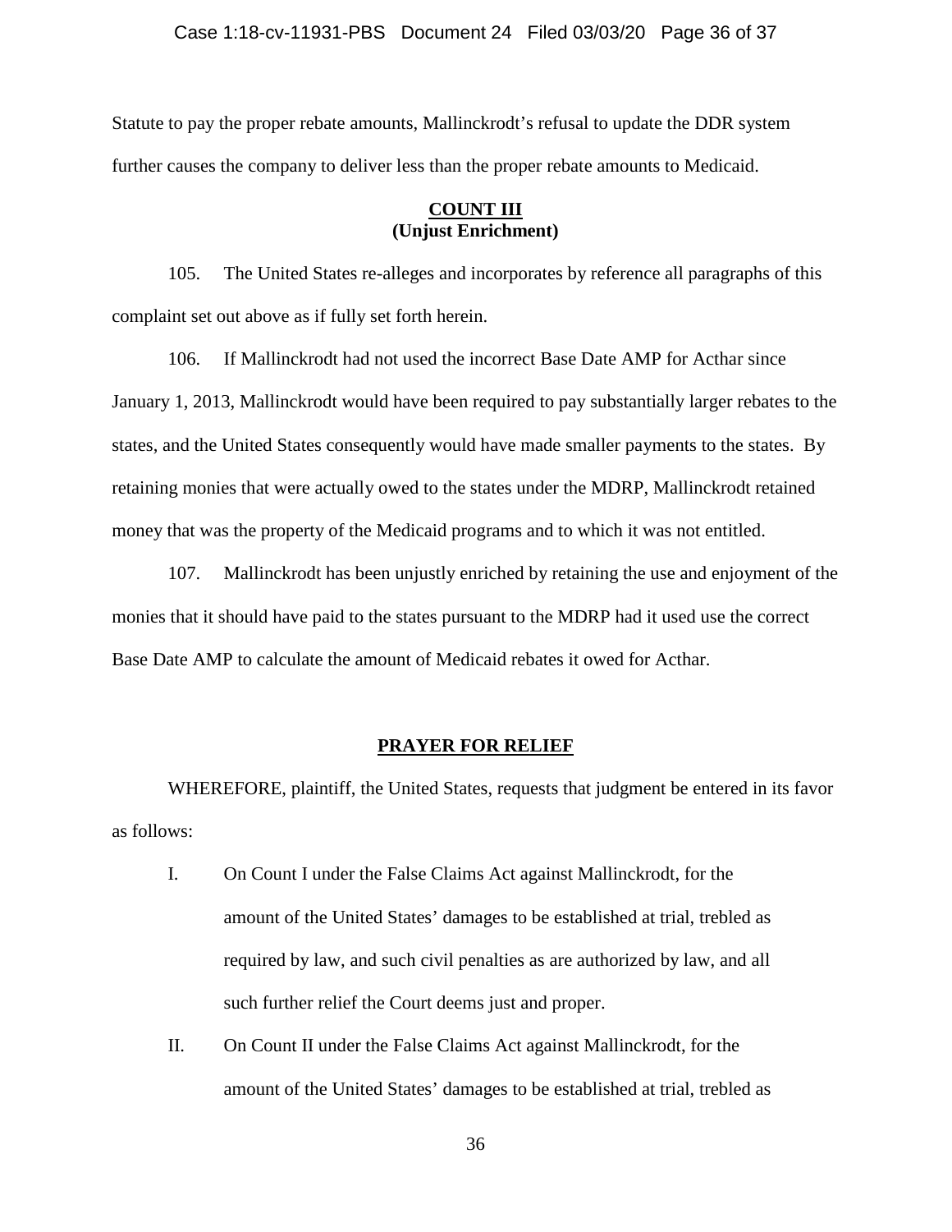## Case 1:18-cv-11931-PBS Document 24 Filed 03/03/20 Page 36 of 37

Statute to pay the proper rebate amounts, Mallinckrodt's refusal to update the DDR system further causes the company to deliver less than the proper rebate amounts to Medicaid.

## **COUNT III (Unjust Enrichment)**

105. The United States re-alleges and incorporates by reference all paragraphs of this complaint set out above as if fully set forth herein.

106. If Mallinckrodt had not used the incorrect Base Date AMP for Acthar since January 1, 2013, Mallinckrodt would have been required to pay substantially larger rebates to the states, and the United States consequently would have made smaller payments to the states. By retaining monies that were actually owed to the states under the MDRP, Mallinckrodt retained money that was the property of the Medicaid programs and to which it was not entitled.

107. Mallinckrodt has been unjustly enriched by retaining the use and enjoyment of the monies that it should have paid to the states pursuant to the MDRP had it used use the correct Base Date AMP to calculate the amount of Medicaid rebates it owed for Acthar.

### **PRAYER FOR RELIEF**

WHEREFORE, plaintiff, the United States, requests that judgment be entered in its favor as follows:

- I. On Count I under the False Claims Act against Mallinckrodt, for the amount of the United States' damages to be established at trial, trebled as required by law, and such civil penalties as are authorized by law, and all such further relief the Court deems just and proper.
- II. On Count II under the False Claims Act against Mallinckrodt, for the amount of the United States' damages to be established at trial, trebled as